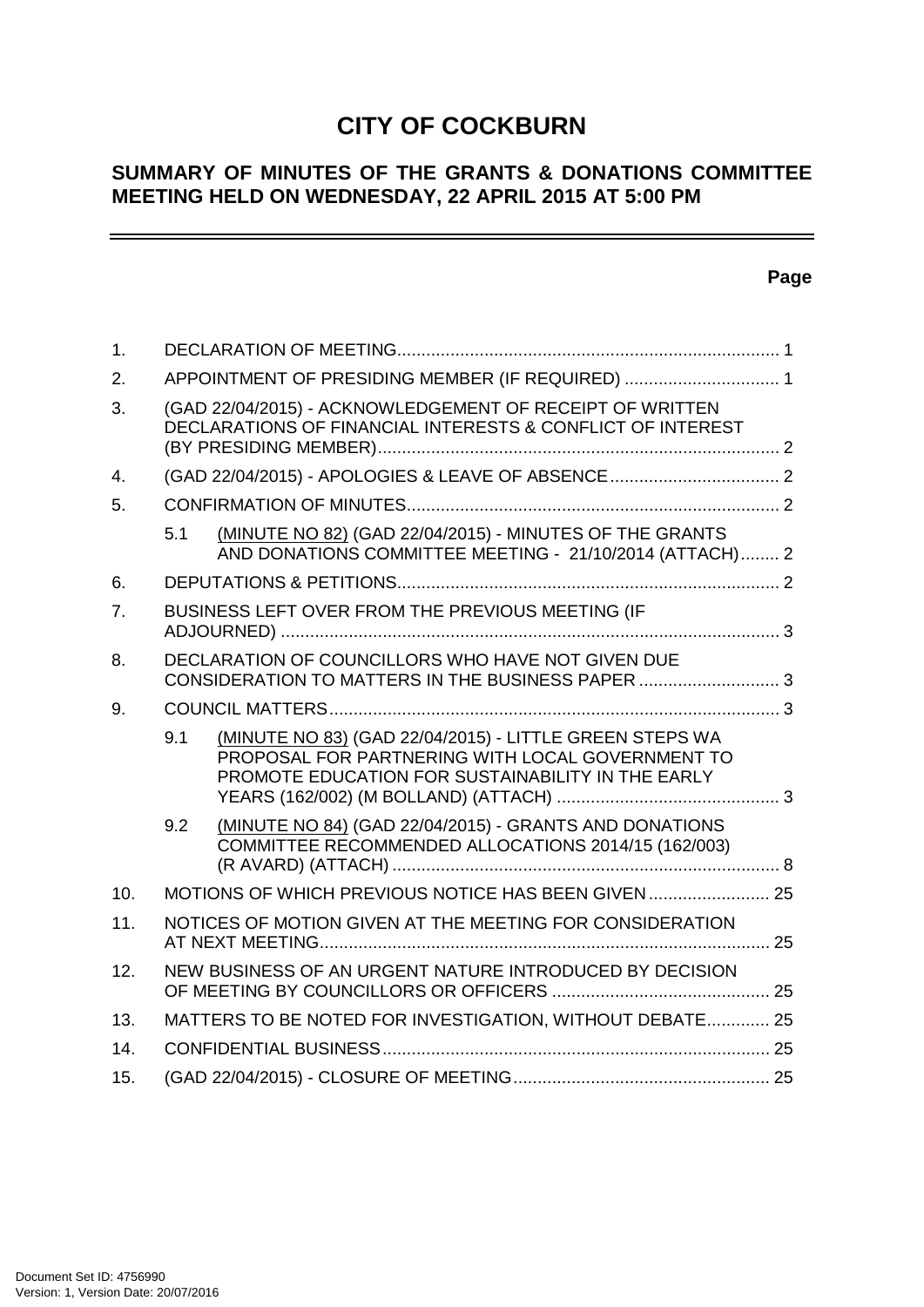# **CITY OF COCKBURN**

# **SUMMARY OF MINUTES OF THE GRANTS & DONATIONS COMMITTEE MEETING HELD ON WEDNESDAY, 22 APRIL 2015 AT 5:00 PM**

# **Page**

 $\overline{\phantom{0}}$ 

| 1.  |                                                          |                                                                                                                                                                  |  |
|-----|----------------------------------------------------------|------------------------------------------------------------------------------------------------------------------------------------------------------------------|--|
| 2.  | APPOINTMENT OF PRESIDING MEMBER (IF REQUIRED)  1         |                                                                                                                                                                  |  |
| 3.  |                                                          | (GAD 22/04/2015) - ACKNOWLEDGEMENT OF RECEIPT OF WRITTEN<br>DECLARATIONS OF FINANCIAL INTERESTS & CONFLICT OF INTEREST                                           |  |
| 4.  |                                                          |                                                                                                                                                                  |  |
| 5.  |                                                          |                                                                                                                                                                  |  |
|     | 5.1                                                      | (MINUTE NO 82) (GAD 22/04/2015) - MINUTES OF THE GRANTS<br>AND DONATIONS COMMITTEE MEETING - 21/10/2014 (ATTACH) 2                                               |  |
| 6.  |                                                          |                                                                                                                                                                  |  |
| 7.  |                                                          | BUSINESS LEFT OVER FROM THE PREVIOUS MEETING (IF                                                                                                                 |  |
| 8.  |                                                          | DECLARATION OF COUNCILLORS WHO HAVE NOT GIVEN DUE<br>CONSIDERATION TO MATTERS IN THE BUSINESS PAPER 3                                                            |  |
| 9.  |                                                          |                                                                                                                                                                  |  |
|     | 9.1                                                      | (MINUTE NO 83) (GAD 22/04/2015) - LITTLE GREEN STEPS WA<br>PROPOSAL FOR PARTNERING WITH LOCAL GOVERNMENT TO<br>PROMOTE EDUCATION FOR SUSTAINABILITY IN THE EARLY |  |
|     | 9.2                                                      | (MINUTE NO 84) (GAD 22/04/2015) - GRANTS AND DONATIONS<br>COMMITTEE RECOMMENDED ALLOCATIONS 2014/15 (162/003)                                                    |  |
| 10. |                                                          |                                                                                                                                                                  |  |
| 11. |                                                          | NOTICES OF MOTION GIVEN AT THE MEETING FOR CONSIDERATION                                                                                                         |  |
| 12. | NEW BUSINESS OF AN URGENT NATURE INTRODUCED BY DECISION  |                                                                                                                                                                  |  |
| 13. | MATTERS TO BE NOTED FOR INVESTIGATION, WITHOUT DEBATE 25 |                                                                                                                                                                  |  |
| 14. |                                                          |                                                                                                                                                                  |  |
| 15. |                                                          |                                                                                                                                                                  |  |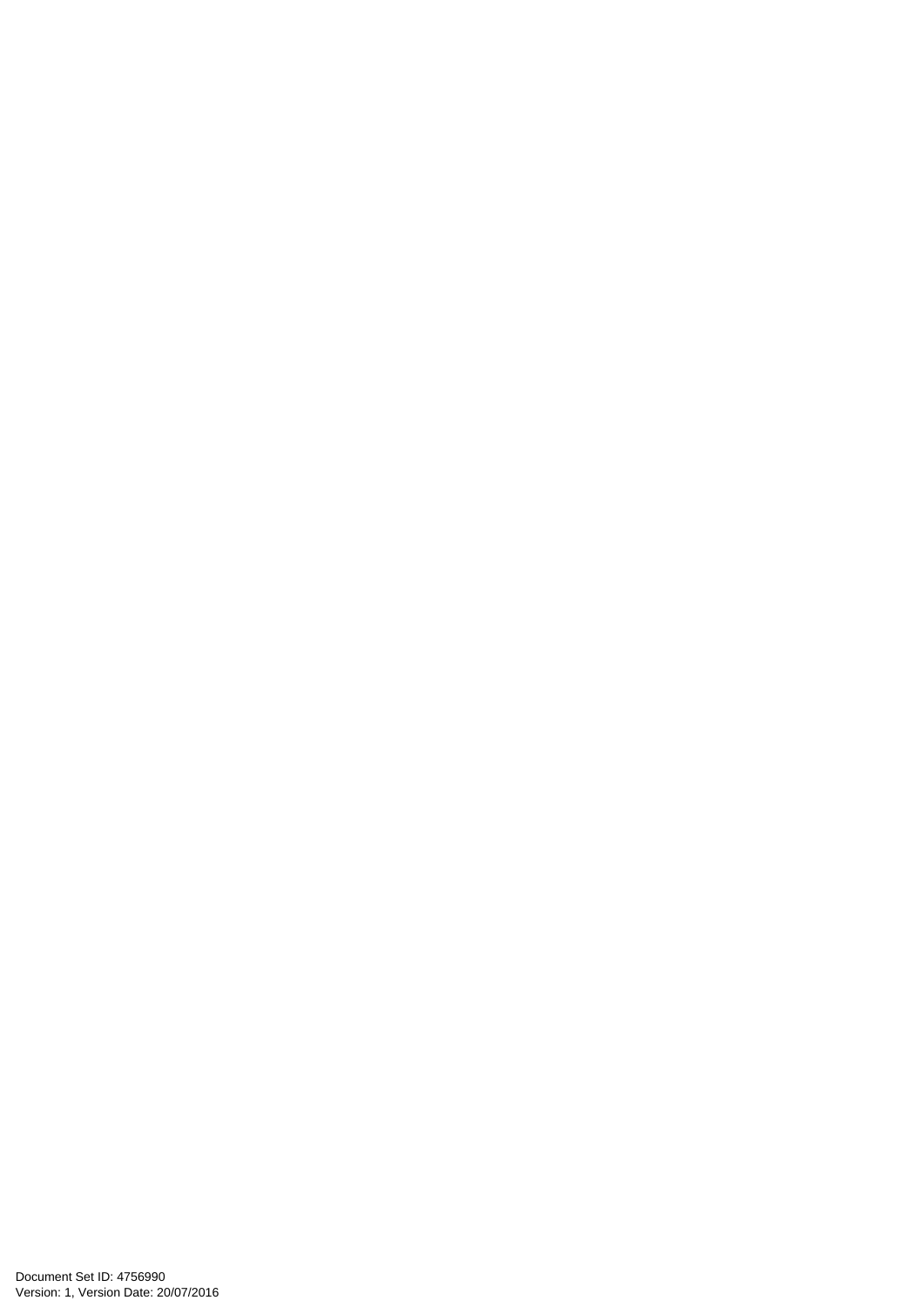Document Set ID: 4756990<br>Version: 1, Version Date: 20/07/2016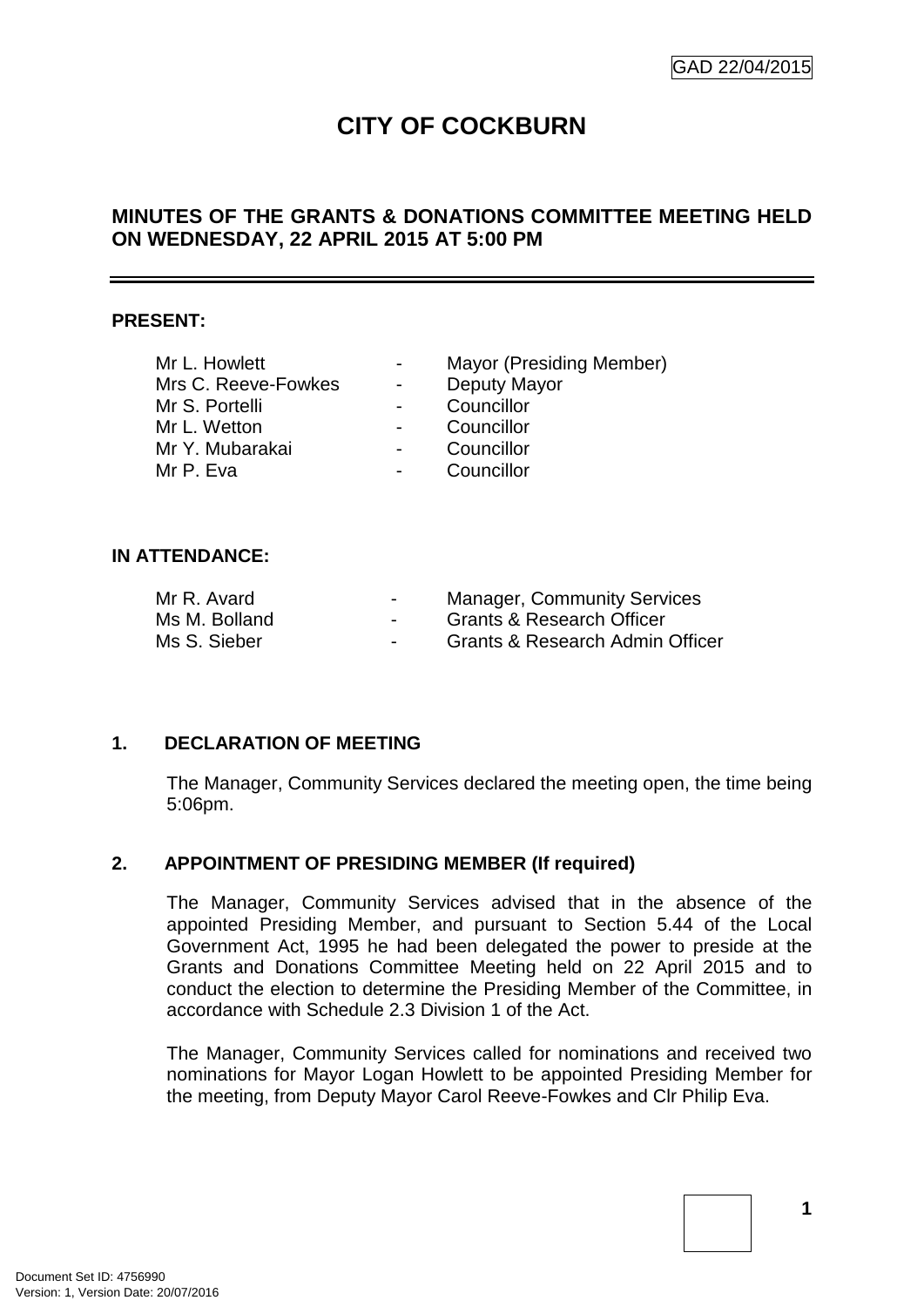# **CITY OF COCKBURN**

# **MINUTES OF THE GRANTS & DONATIONS COMMITTEE MEETING HELD ON WEDNESDAY, 22 APRIL 2015 AT 5:00 PM**

#### **PRESENT:**

| Mr L. Howlett<br>Mrs C. Reeve-Fowkes | $\sim$<br>$\overline{\phantom{a}}$ | Mayor (Presiding Member)<br>Deputy Mayor |
|--------------------------------------|------------------------------------|------------------------------------------|
| Mr S. Portelli                       | $\blacksquare$                     | Councillor                               |
| Mr L. Wetton                         |                                    | Councillor                               |
| Mr Y. Mubarakai                      | $\blacksquare$                     | Councillor                               |
| Mr P. Eva                            |                                    | Councillor                               |

#### **IN ATTENDANCE:**

| Mr R. Avard   | $\blacksquare$ | <b>Manager, Community Services</b> |
|---------------|----------------|------------------------------------|
| Ms M. Bolland | $\sim$         | Grants & Research Officer          |
| Ms S. Sieber  | $\sim$         | Grants & Research Admin Officer    |

# **1. DECLARATION OF MEETING**

The Manager, Community Services declared the meeting open, the time being 5:06pm.

# **2. APPOINTMENT OF PRESIDING MEMBER (If required)**

The Manager, Community Services advised that in the absence of the appointed Presiding Member, and pursuant to Section 5.44 of the Local Government Act, 1995 he had been delegated the power to preside at the Grants and Donations Committee Meeting held on 22 April 2015 and to conduct the election to determine the Presiding Member of the Committee, in accordance with Schedule 2.3 Division 1 of the Act.

The Manager, Community Services called for nominations and received two nominations for Mayor Logan Howlett to be appointed Presiding Member for the meeting, from Deputy Mayor Carol Reeve-Fowkes and Clr Philip Eva.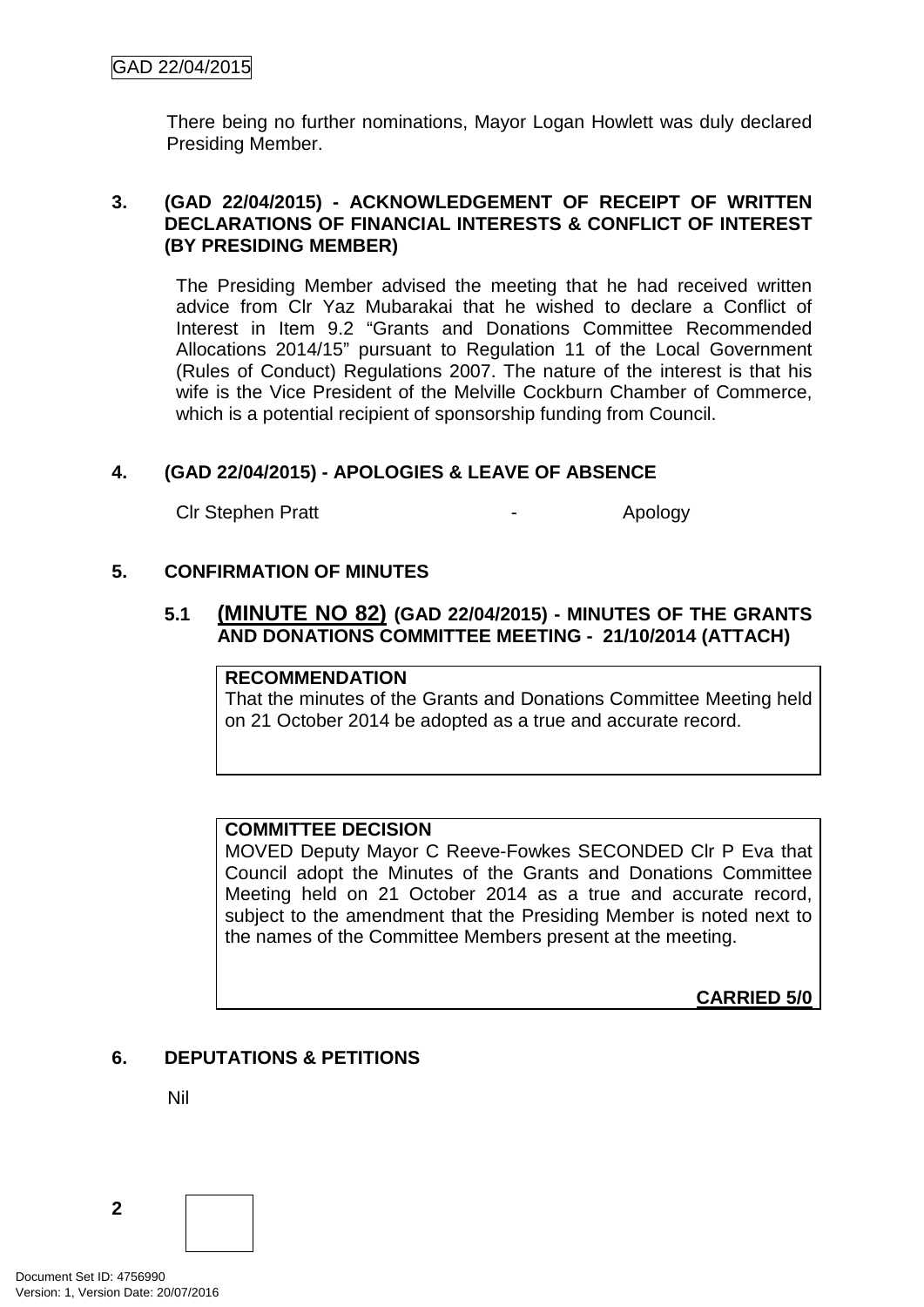There being no further nominations, Mayor Logan Howlett was duly declared Presiding Member.

# **3. (GAD 22/04/2015) - ACKNOWLEDGEMENT OF RECEIPT OF WRITTEN DECLARATIONS OF FINANCIAL INTERESTS & CONFLICT OF INTEREST (BY PRESIDING MEMBER)**

The Presiding Member advised the meeting that he had received written advice from Clr Yaz Mubarakai that he wished to declare a Conflict of Interest in Item 9.2 "Grants and Donations Committee Recommended Allocations 2014/15" pursuant to Regulation 11 of the Local Government (Rules of Conduct) Regulations 2007. The nature of the interest is that his wife is the Vice President of the Melville Cockburn Chamber of Commerce, which is a potential recipient of sponsorship funding from Council.

# **4. (GAD 22/04/2015) - APOLOGIES & LEAVE OF ABSENCE**

CIr Stephen Pratt **CIR** - Apology

# **5. CONFIRMATION OF MINUTES**

# **5.1 (MINUTE NO 82) (GAD 22/04/2015) - MINUTES OF THE GRANTS AND DONATIONS COMMITTEE MEETING - 21/10/2014 (ATTACH)**

#### **RECOMMENDATION**

That the minutes of the Grants and Donations Committee Meeting held on 21 October 2014 be adopted as a true and accurate record.

# **COMMITTEE DECISION**

MOVED Deputy Mayor C Reeve-Fowkes SECONDED Clr P Eva that Council adopt the Minutes of the Grants and Donations Committee Meeting held on 21 October 2014 as a true and accurate record, subject to the amendment that the Presiding Member is noted next to the names of the Committee Members present at the meeting.

# **CARRIED 5/0**

# **6. DEPUTATIONS & PETITIONS**

Nil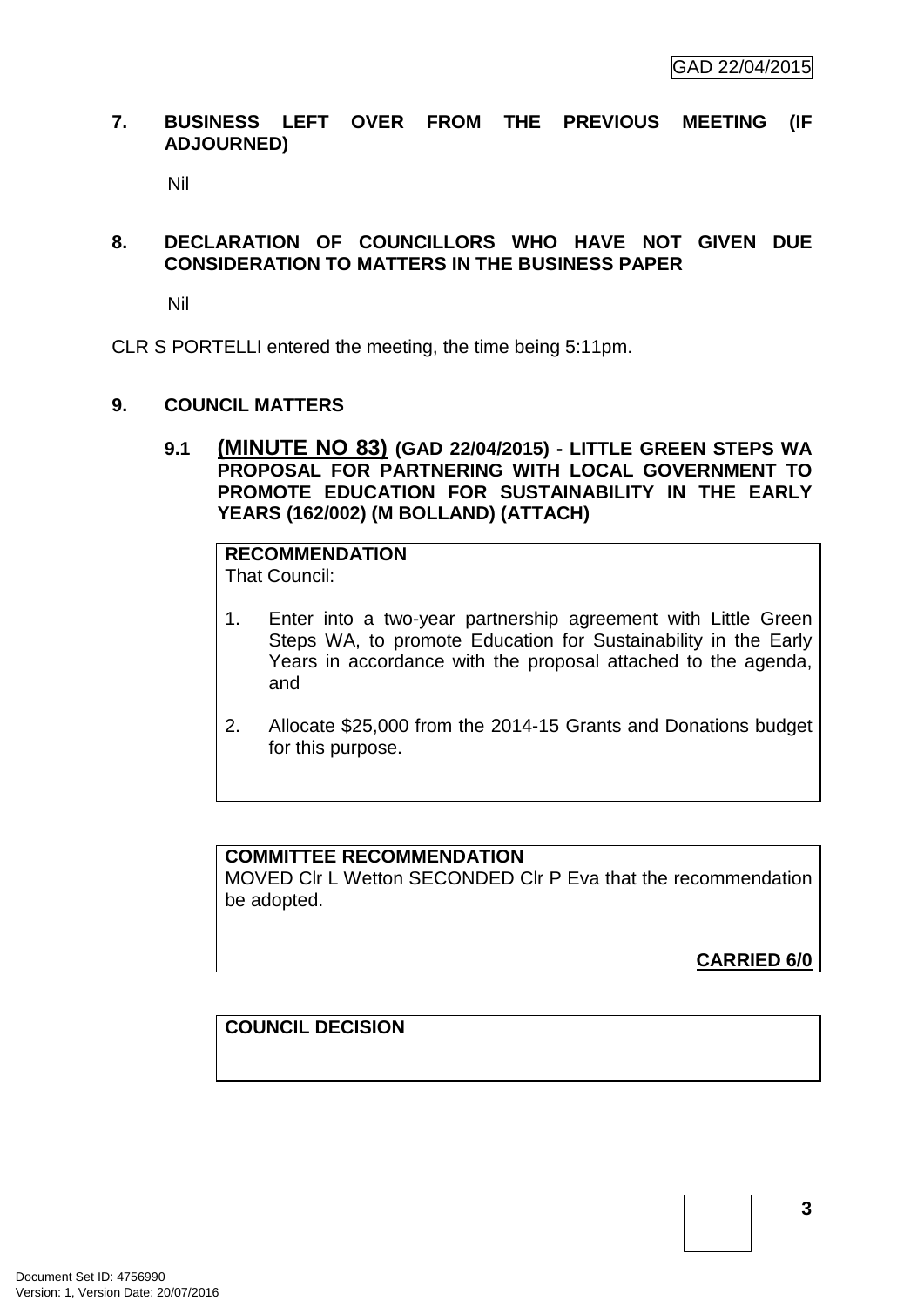# **7. BUSINESS LEFT OVER FROM THE PREVIOUS MEETING (IF ADJOURNED)**

Nil

# **8. DECLARATION OF COUNCILLORS WHO HAVE NOT GIVEN DUE CONSIDERATION TO MATTERS IN THE BUSINESS PAPER**

Nil

CLR S PORTELLI entered the meeting, the time being 5:11pm.

#### **9. COUNCIL MATTERS**

**9.1 (MINUTE NO 83) (GAD 22/04/2015) - LITTLE GREEN STEPS WA PROPOSAL FOR PARTNERING WITH LOCAL GOVERNMENT TO PROMOTE EDUCATION FOR SUSTAINABILITY IN THE EARLY YEARS (162/002) (M BOLLAND) (ATTACH)**

#### **RECOMMENDATION** That Council:

- 
- 1. Enter into a two-year partnership agreement with Little Green Steps WA, to promote Education for Sustainability in the Early Years in accordance with the proposal attached to the agenda, and
- 2. Allocate \$25,000 from the 2014-15 Grants and Donations budget for this purpose.

# **COMMITTEE RECOMMENDATION**

MOVED Clr L Wetton SECONDED Clr P Eva that the recommendation be adopted.

**CARRIED 6/0**

# **COUNCIL DECISION**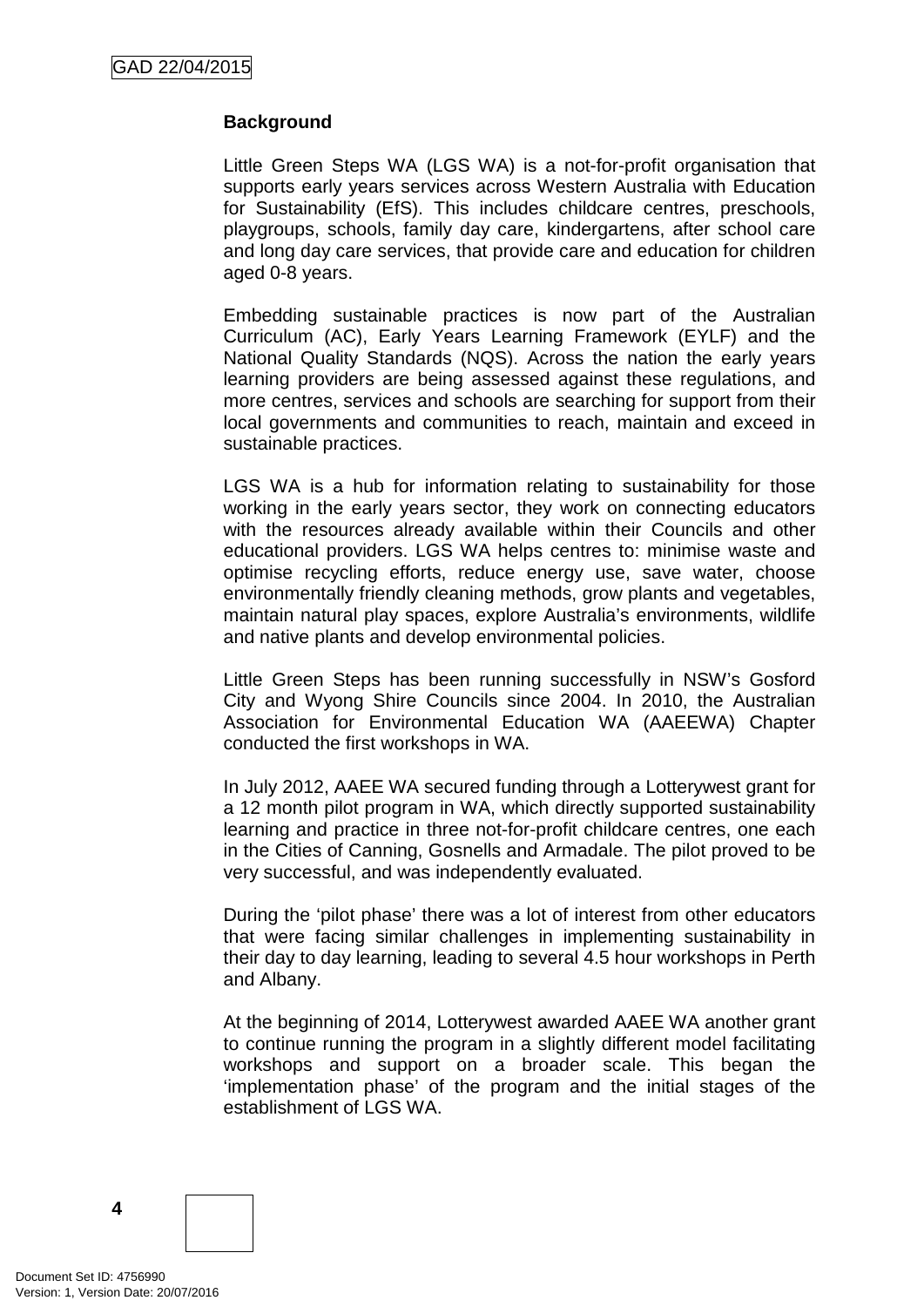# **Background**

Little Green Steps WA (LGS WA) is a not-for-profit organisation that supports early years services across Western Australia with Education for Sustainability (EfS). This includes childcare centres, preschools, playgroups, schools, family day care, kindergartens, after school care and long day care services, that provide care and education for children aged 0-8 years.

Embedding sustainable practices is now part of the Australian Curriculum (AC), Early Years Learning Framework (EYLF) and the National Quality Standards (NQS). Across the nation the early years learning providers are being assessed against these regulations, and more centres, services and schools are searching for support from their local governments and communities to reach, maintain and exceed in sustainable practices.

LGS WA is a hub for information relating to sustainability for those working in the early years sector, they work on connecting educators with the resources already available within their Councils and other educational providers. LGS WA helps centres to: minimise waste and optimise recycling efforts, reduce energy use, save water, choose environmentally friendly cleaning methods, grow plants and vegetables, maintain natural play spaces, explore Australia's environments, wildlife and native plants and develop environmental policies.

Little Green Steps has been running successfully in NSW's Gosford City and Wyong Shire Councils since 2004. In 2010, the Australian Association for Environmental Education WA (AAEEWA) Chapter conducted the first workshops in WA.

In July 2012, AAEE WA secured funding through a Lotterywest grant for a 12 month pilot program in WA, which directly supported sustainability learning and practice in three not-for-profit childcare centres, one each in the Cities of Canning, Gosnells and Armadale. The pilot proved to be very successful, and was independently evaluated.

During the 'pilot phase' there was a lot of interest from other educators that were facing similar challenges in implementing sustainability in their day to day learning, leading to several 4.5 hour workshops in Perth and Albany.

At the beginning of 2014, Lotterywest awarded AAEE WA another grant to continue running the program in a slightly different model facilitating workshops and support on a broader scale. This began the 'implementation phase' of the program and the initial stages of the establishment of LGS WA.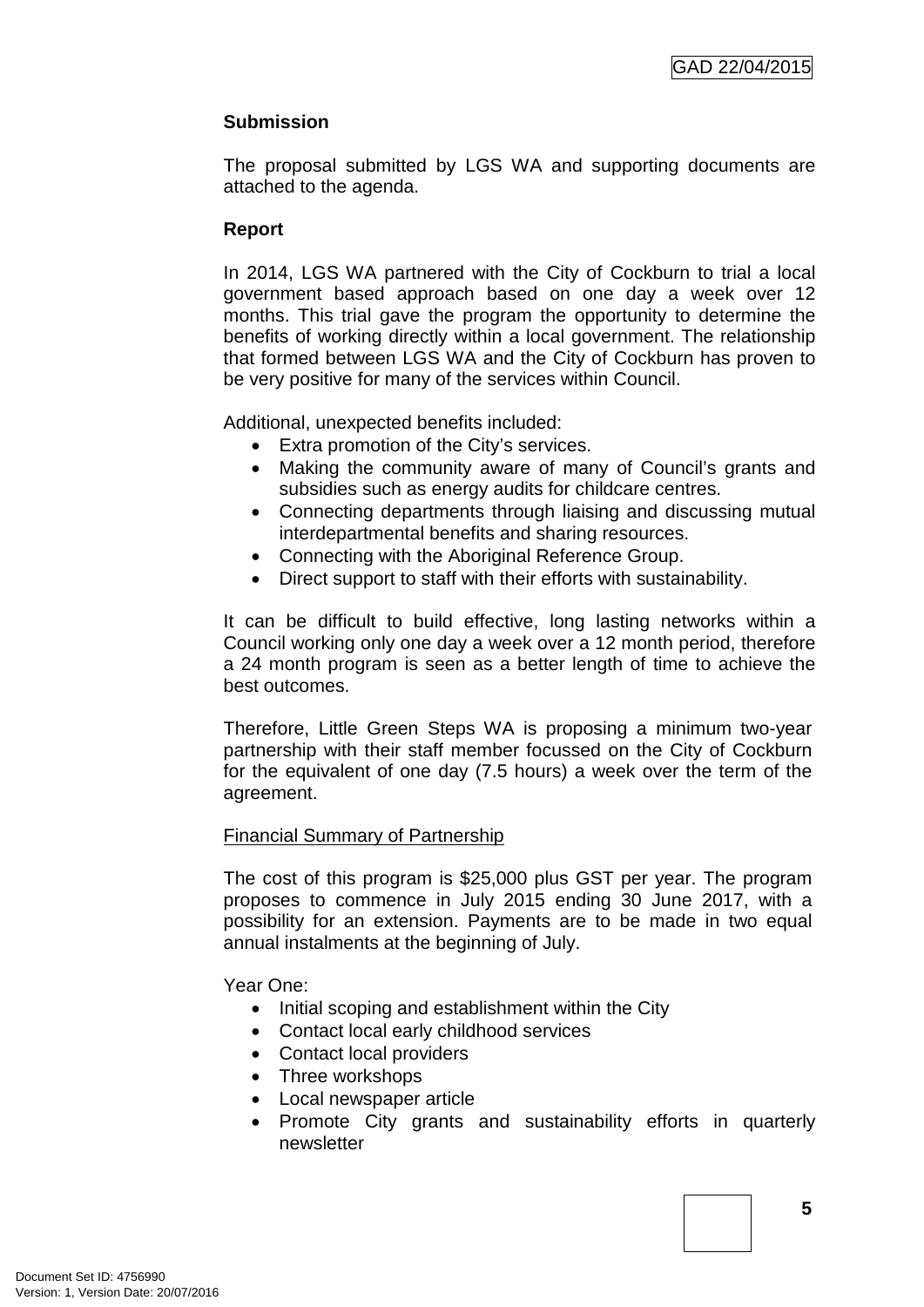# **Submission**

The proposal submitted by LGS WA and supporting documents are attached to the agenda.

# **Report**

In 2014, LGS WA partnered with the City of Cockburn to trial a local government based approach based on one day a week over 12 months. This trial gave the program the opportunity to determine the benefits of working directly within a local government. The relationship that formed between LGS WA and the City of Cockburn has proven to be very positive for many of the services within Council.

Additional, unexpected benefits included:

- Extra promotion of the City's services.
- Making the community aware of many of Council's grants and subsidies such as energy audits for childcare centres.
- Connecting departments through liaising and discussing mutual interdepartmental benefits and sharing resources.
- Connecting with the Aboriginal Reference Group.
- Direct support to staff with their efforts with sustainability.

It can be difficult to build effective, long lasting networks within a Council working only one day a week over a 12 month period, therefore a 24 month program is seen as a better length of time to achieve the best outcomes.

Therefore, Little Green Steps WA is proposing a minimum two-year partnership with their staff member focussed on the City of Cockburn for the equivalent of one day (7.5 hours) a week over the term of the agreement.

# Financial Summary of Partnership

The cost of this program is \$25,000 plus GST per year. The program proposes to commence in July 2015 ending 30 June 2017, with a possibility for an extension. Payments are to be made in two equal annual instalments at the beginning of July.

Year One:

- Initial scoping and establishment within the City
- Contact local early childhood services
- Contact local providers
- Three workshops
- Local newspaper article
- Promote City grants and sustainability efforts in quarterly newsletter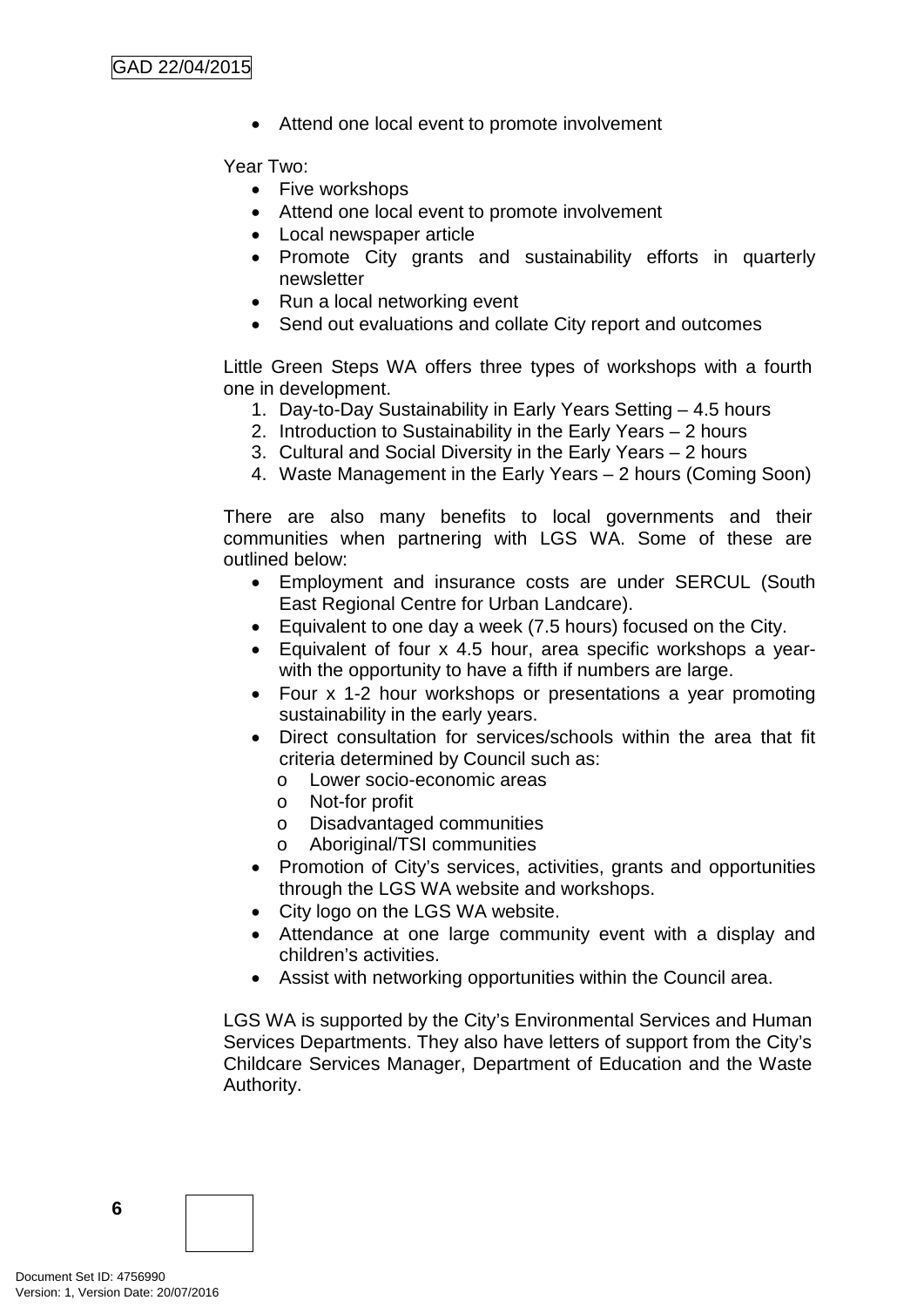• Attend one local event to promote involvement

Year Two:

- Five workshops
- Attend one local event to promote involvement
- Local newspaper article
- Promote City grants and sustainability efforts in quarterly newsletter
- Run a local networking event
- Send out evaluations and collate City report and outcomes

Little Green Steps WA offers three types of workshops with a fourth one in development.

- 1. Day-to-Day Sustainability in Early Years Setting 4.5 hours
- 2. Introduction to Sustainability in the Early Years 2 hours
- 3. Cultural and Social Diversity in the Early Years 2 hours
- 4. Waste Management in the Early Years 2 hours (Coming Soon)

There are also many benefits to local governments and their communities when partnering with LGS WA. Some of these are outlined below:

- Employment and insurance costs are under SERCUL (South East Regional Centre for Urban Landcare).
- Equivalent to one day a week (7.5 hours) focused on the City.
- Equivalent of four x 4.5 hour, area specific workshops a yearwith the opportunity to have a fifth if numbers are large.
- Four x 1-2 hour workshops or presentations a year promoting sustainability in the early years.
- Direct consultation for services/schools within the area that fit criteria determined by Council such as:
	- o Lower socio-economic areas
	- o Not-for profit
	- o Disadvantaged communities<br>
	o Aboriginal/TSI communities
	- Aboriginal/TSI communities
- Promotion of City's services, activities, grants and opportunities through the LGS WA website and workshops.
- City logo on the LGS WA website.
- Attendance at one large community event with a display and children's activities.
- Assist with networking opportunities within the Council area.

LGS WA is supported by the City's Environmental Services and Human Services Departments. They also have letters of support from the City's Childcare Services Manager, Department of Education and the Waste Authority.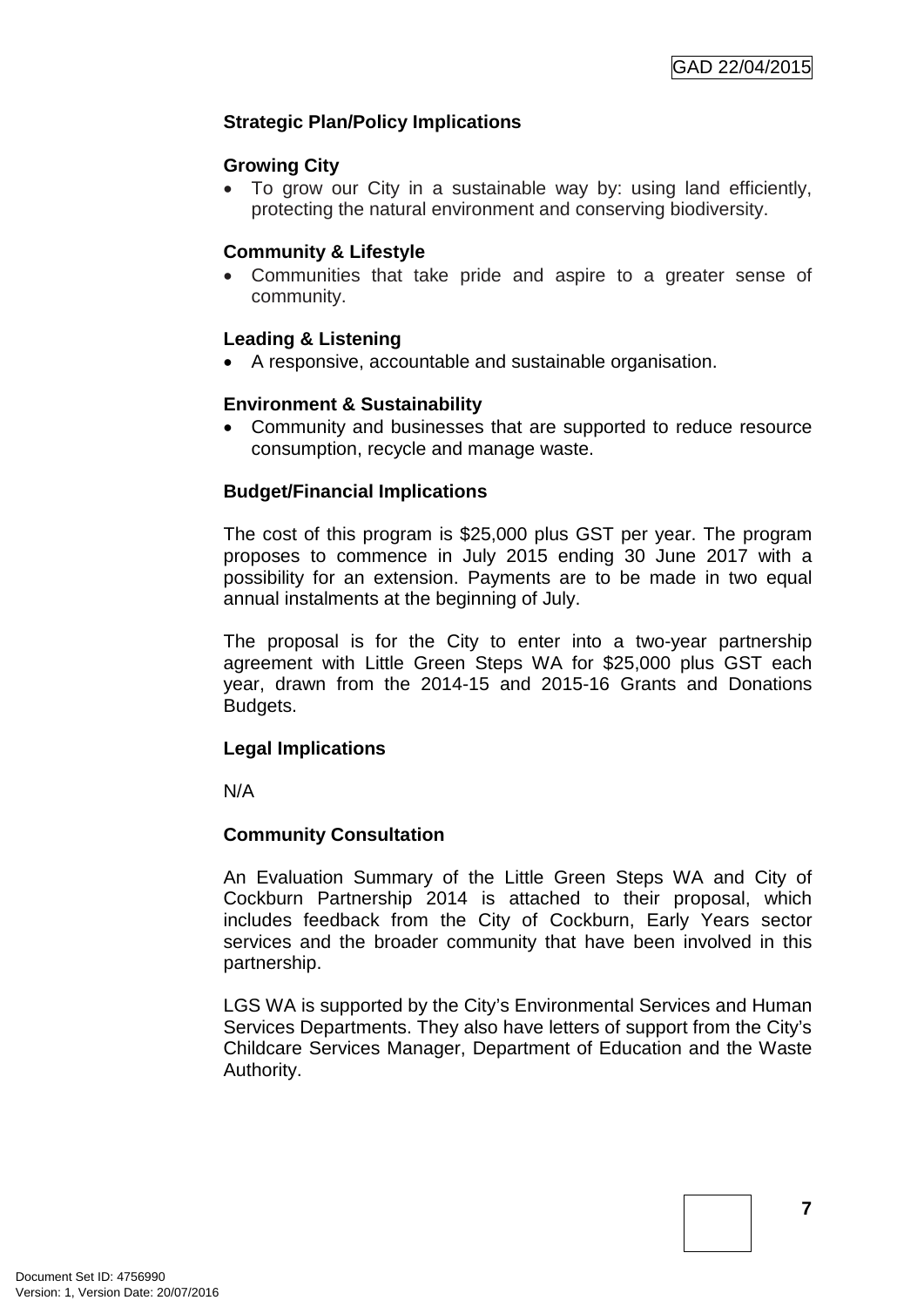# **Strategic Plan/Policy Implications**

#### **Growing City**

• To grow our City in a sustainable way by: using land efficiently, protecting the natural environment and conserving biodiversity.

# **Community & Lifestyle**

• Communities that take pride and aspire to a greater sense of community.

# **Leading & Listening**

• A responsive, accountable and sustainable organisation.

# **Environment & Sustainability**

• Community and businesses that are supported to reduce resource consumption, recycle and manage waste.

# **Budget/Financial Implications**

The cost of this program is \$25,000 plus GST per year. The program proposes to commence in July 2015 ending 30 June 2017 with a possibility for an extension. Payments are to be made in two equal annual instalments at the beginning of July.

The proposal is for the City to enter into a two-year partnership agreement with Little Green Steps WA for \$25,000 plus GST each year, drawn from the 2014-15 and 2015-16 Grants and Donations Budgets.

# **Legal Implications**

N/A

# **Community Consultation**

An Evaluation Summary of the Little Green Steps WA and City of Cockburn Partnership 2014 is attached to their proposal, which includes feedback from the City of Cockburn, Early Years sector services and the broader community that have been involved in this partnership.

LGS WA is supported by the City's Environmental Services and Human Services Departments. They also have letters of support from the City's Childcare Services Manager, Department of Education and the Waste Authority.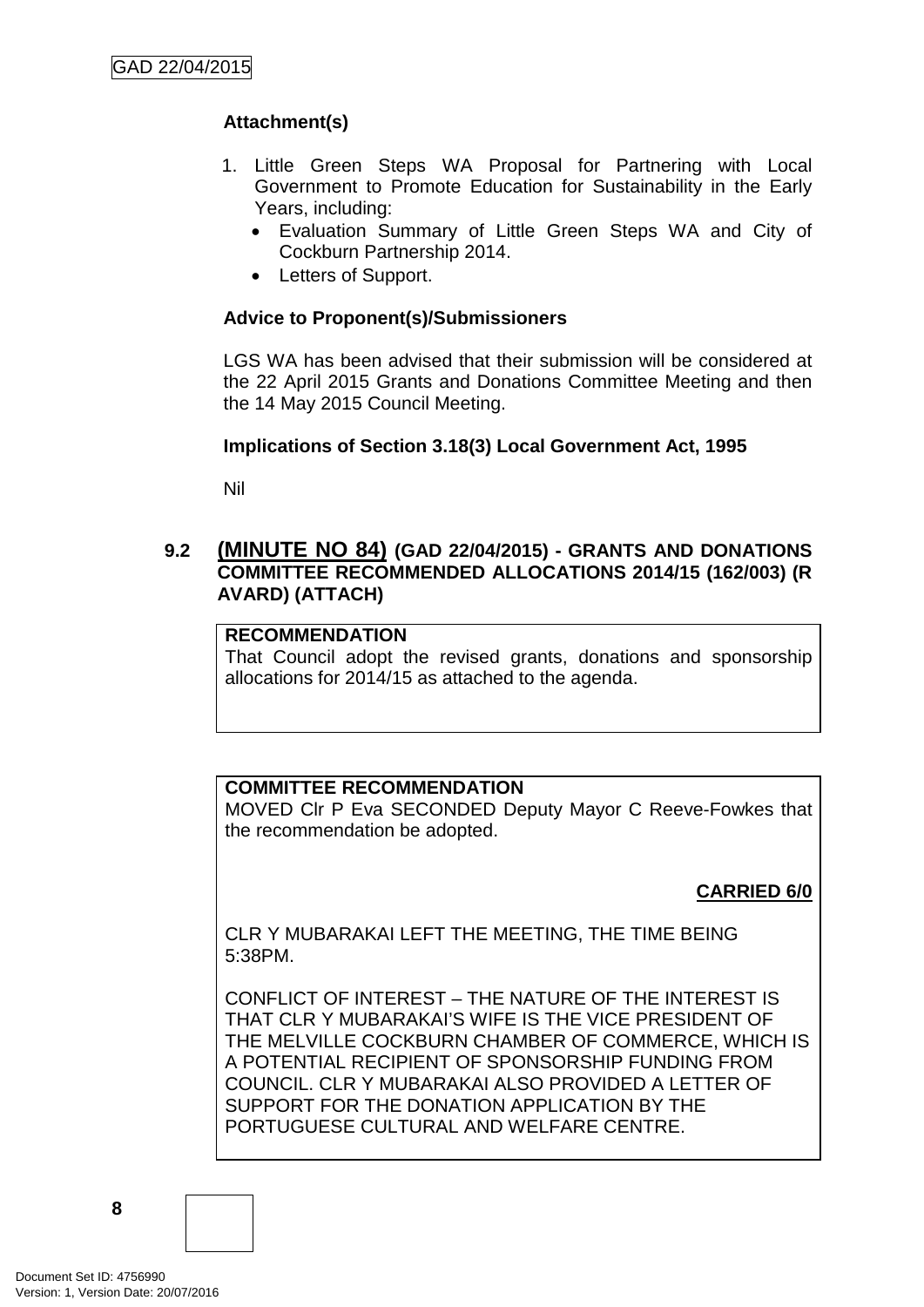# **Attachment(s)**

- 1. Little Green Steps WA Proposal for Partnering with Local Government to Promote Education for Sustainability in the Early Years, including:
	- Evaluation Summary of Little Green Steps WA and City of Cockburn Partnership 2014.
	- Letters of Support.

# **Advice to Proponent(s)/Submissioners**

LGS WA has been advised that their submission will be considered at the 22 April 2015 Grants and Donations Committee Meeting and then the 14 May 2015 Council Meeting.

# **Implications of Section 3.18(3) Local Government Act, 1995**

Nil

# **9.2 (MINUTE NO 84) (GAD 22/04/2015) - GRANTS AND DONATIONS COMMITTEE RECOMMENDED ALLOCATIONS 2014/15 (162/003) (R AVARD) (ATTACH)**

# **RECOMMENDATION**

That Council adopt the revised grants, donations and sponsorship allocations for 2014/15 as attached to the agenda.

# **COMMITTEE RECOMMENDATION**

MOVED Clr P Eva SECONDED Deputy Mayor C Reeve-Fowkes that the recommendation be adopted.

# **CARRIED 6/0**

CLR Y MUBARAKAI LEFT THE MEETING, THE TIME BEING 5:38PM.

CONFLICT OF INTEREST – THE NATURE OF THE INTEREST IS THAT CLR Y MUBARAKAI'S WIFE IS THE VICE PRESIDENT OF THE MELVILLE COCKBURN CHAMBER OF COMMERCE, WHICH IS A POTENTIAL RECIPIENT OF SPONSORSHIP FUNDING FROM COUNCIL. CLR Y MUBARAKAI ALSO PROVIDED A LETTER OF SUPPORT FOR THE DONATION APPLICATION BY THE PORTUGUESE CULTURAL AND WELFARE CENTRE.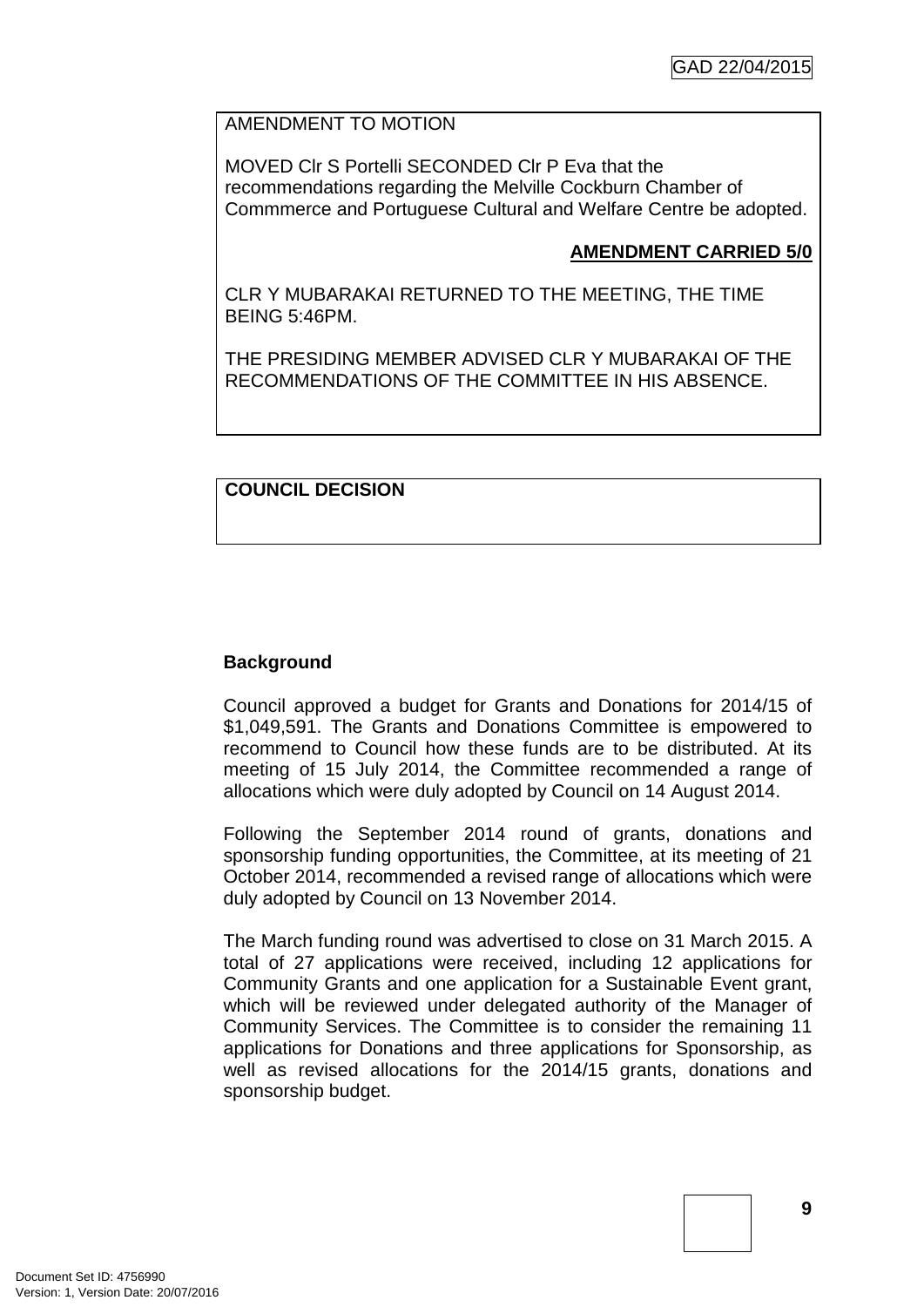AMENDMENT TO MOTION

MOVED Clr S Portelli SECONDED Clr P Eva that the recommendations regarding the Melville Cockburn Chamber of Commmerce and Portuguese Cultural and Welfare Centre be adopted.

# **AMENDMENT CARRIED 5/0**

CLR Y MUBARAKAI RETURNED TO THE MEETING, THE TIME BEING 5:46PM.

THE PRESIDING MEMBER ADVISED CLR Y MUBARAKAI OF THE RECOMMENDATIONS OF THE COMMITTEE IN HIS ABSENCE.

# **COUNCIL DECISION**

# **Background**

Council approved a budget for Grants and Donations for 2014/15 of \$1,049,591. The Grants and Donations Committee is empowered to recommend to Council how these funds are to be distributed. At its meeting of 15 July 2014, the Committee recommended a range of allocations which were duly adopted by Council on 14 August 2014.

Following the September 2014 round of grants, donations and sponsorship funding opportunities, the Committee, at its meeting of 21 October 2014, recommended a revised range of allocations which were duly adopted by Council on 13 November 2014.

The March funding round was advertised to close on 31 March 2015. A total of 27 applications were received, including 12 applications for Community Grants and one application for a Sustainable Event grant, which will be reviewed under delegated authority of the Manager of Community Services. The Committee is to consider the remaining 11 applications for Donations and three applications for Sponsorship, as well as revised allocations for the 2014/15 grants, donations and sponsorship budget.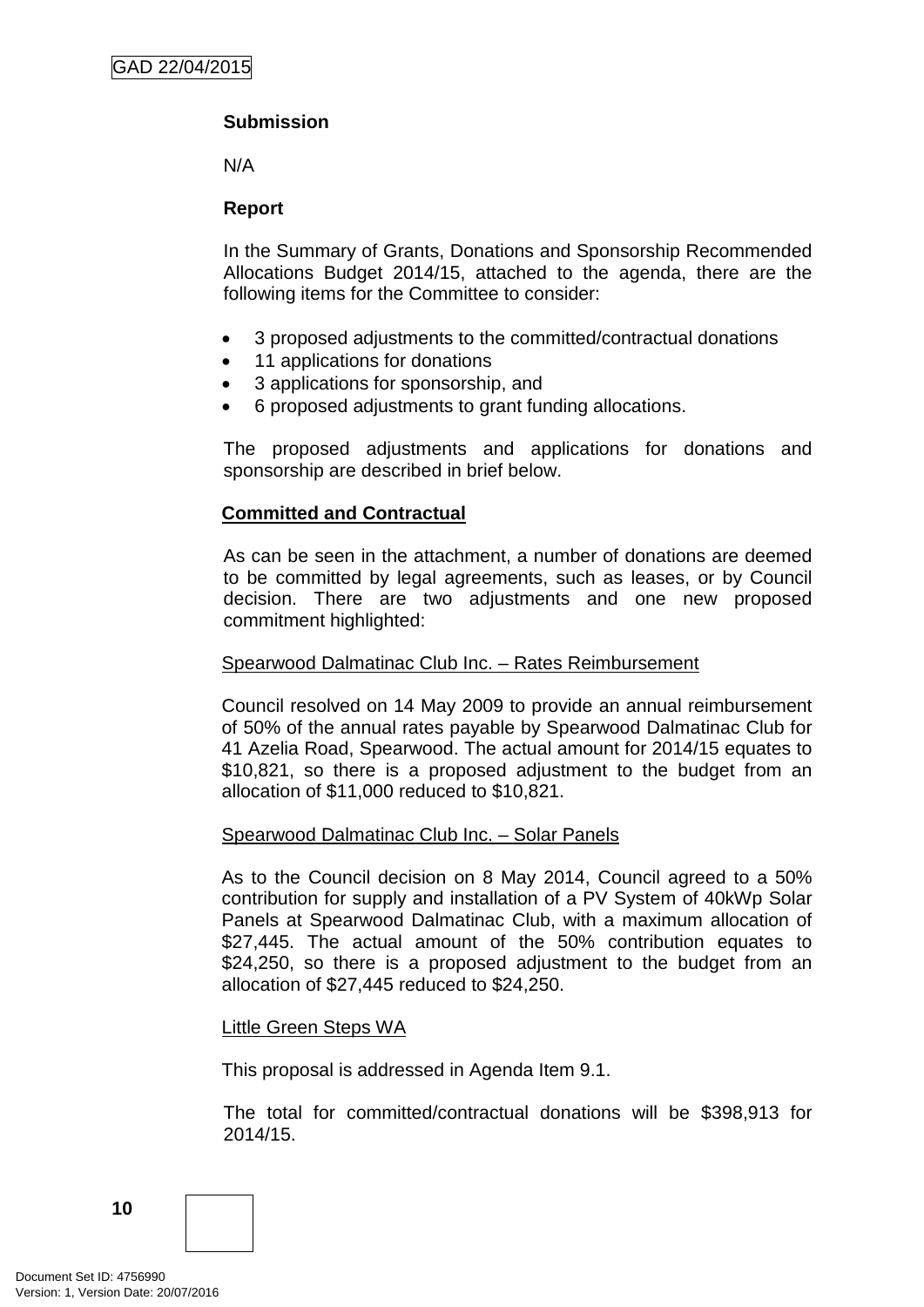# **Submission**

N/A

# **Report**

In the Summary of Grants, Donations and Sponsorship Recommended Allocations Budget 2014/15, attached to the agenda, there are the following items for the Committee to consider:

- 3 proposed adjustments to the committed/contractual donations
- 11 applications for donations
- 3 applications for sponsorship, and
- 6 proposed adjustments to grant funding allocations.

The proposed adjustments and applications for donations and sponsorship are described in brief below.

# **Committed and Contractual**

As can be seen in the attachment, a number of donations are deemed to be committed by legal agreements, such as leases, or by Council decision. There are two adjustments and one new proposed commitment highlighted:

# Spearwood Dalmatinac Club Inc. – Rates Reimbursement

Council resolved on 14 May 2009 to provide an annual reimbursement of 50% of the annual rates payable by Spearwood Dalmatinac Club for 41 Azelia Road, Spearwood. The actual amount for 2014/15 equates to \$10,821, so there is a proposed adjustment to the budget from an allocation of \$11,000 reduced to \$10,821.

# Spearwood Dalmatinac Club Inc. – Solar Panels

As to the Council decision on 8 May 2014, Council agreed to a 50% contribution for supply and installation of a PV System of 40kWp Solar Panels at Spearwood Dalmatinac Club, with a maximum allocation of \$27,445. The actual amount of the 50% contribution equates to \$24,250, so there is a proposed adjustment to the budget from an allocation of \$27,445 reduced to \$24,250.

# Little Green Steps WA

This proposal is addressed in Agenda Item 9.1.

The total for committed/contractual donations will be \$398,913 for 2014/15.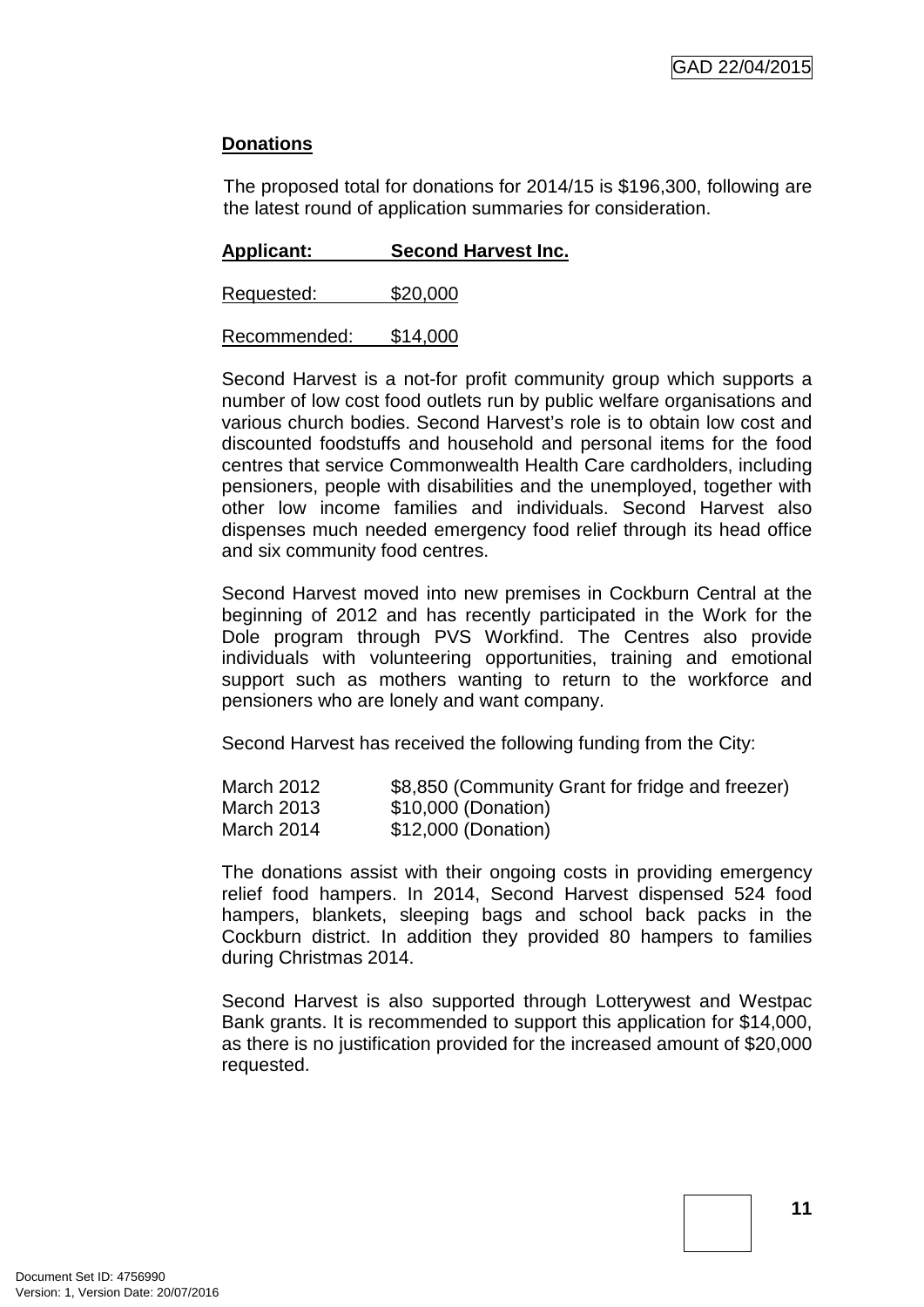# **Donations**

The proposed total for donations for 2014/15 is \$196,300, following are the latest round of application summaries for consideration.

#### **Applicant: Second Harvest Inc.**

Requested: \$20,000

Recommended: \$14,000

Second Harvest is a not-for profit community group which supports a number of low cost food outlets run by public welfare organisations and various church bodies. Second Harvest's role is to obtain low cost and discounted foodstuffs and household and personal items for the food centres that service Commonwealth Health Care cardholders, including pensioners, people with disabilities and the unemployed, together with other low income families and individuals. Second Harvest also dispenses much needed emergency food relief through its head office and six community food centres.

Second Harvest moved into new premises in Cockburn Central at the beginning of 2012 and has recently participated in the Work for the Dole program through PVS Workfind. The Centres also provide individuals with volunteering opportunities, training and emotional support such as mothers wanting to return to the workforce and pensioners who are lonely and want company.

Second Harvest has received the following funding from the City:

| March 2012 | \$8,850 (Community Grant for fridge and freezer) |
|------------|--------------------------------------------------|
| March 2013 | \$10,000 (Donation)                              |
| March 2014 | \$12,000 (Donation)                              |

The donations assist with their ongoing costs in providing emergency relief food hampers. In 2014, Second Harvest dispensed 524 food hampers, blankets, sleeping bags and school back packs in the Cockburn district. In addition they provided 80 hampers to families during Christmas 2014.

Second Harvest is also supported through Lotterywest and Westpac Bank grants. It is recommended to support this application for \$14,000, as there is no justification provided for the increased amount of \$20,000 requested.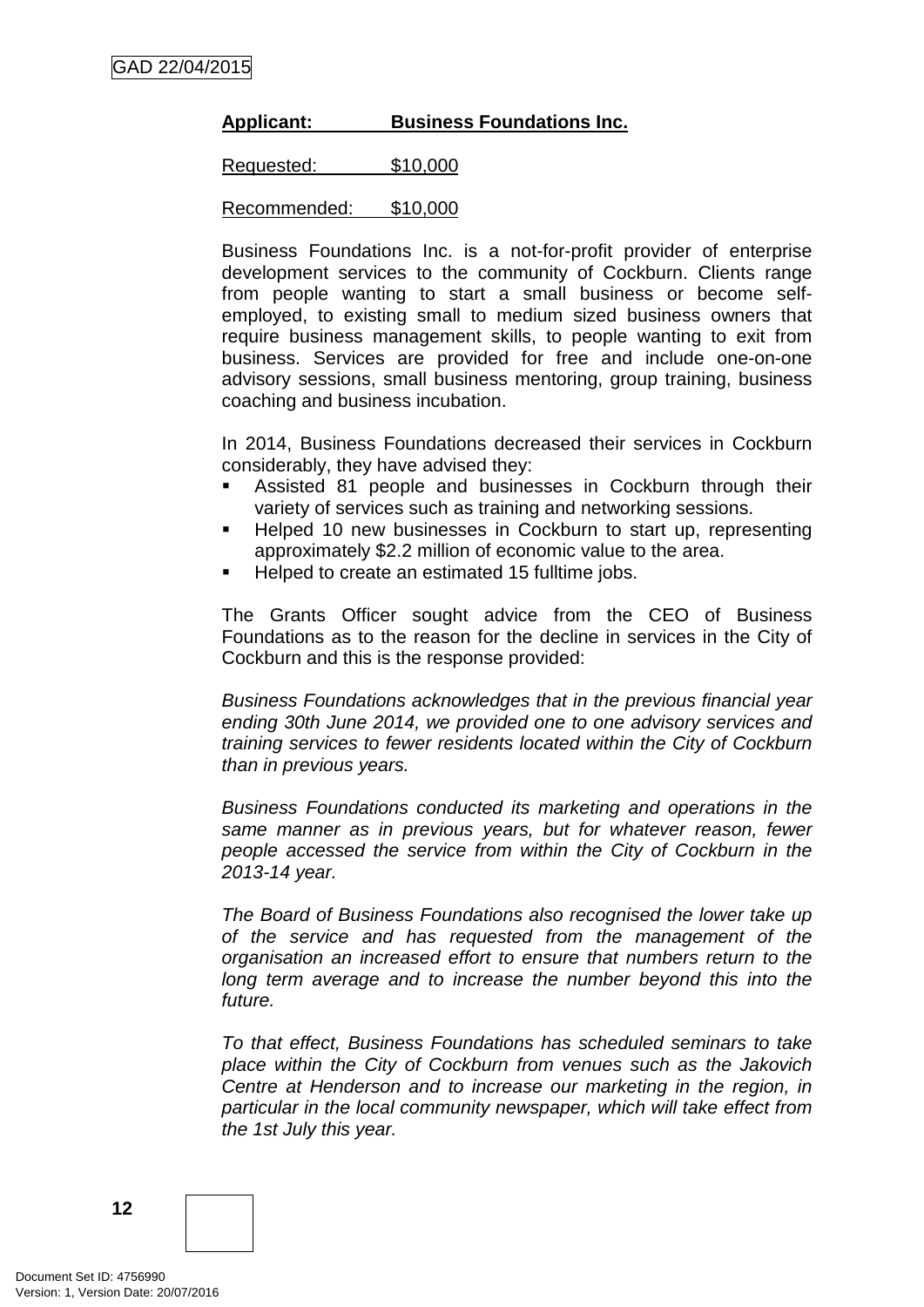# **Applicant: Business Foundations Inc.**

Requested: \$10,000

Recommended: \$10,000

Business Foundations Inc. is a not-for-profit provider of enterprise development services to the community of Cockburn. Clients range from people wanting to start a small business or become selfemployed, to existing small to medium sized business owners that require business management skills, to people wanting to exit from business. Services are provided for free and include one-on-one advisory sessions, small business mentoring, group training, business coaching and business incubation.

In 2014, Business Foundations decreased their services in Cockburn considerably, they have advised they:

- Assisted 81 people and businesses in Cockburn through their variety of services such as training and networking sessions.
- **Helped 10 new businesses in Cockburn to start up, representing** approximately \$2.2 million of economic value to the area.
- Helped to create an estimated 15 fulltime jobs.

The Grants Officer sought advice from the CEO of Business Foundations as to the reason for the decline in services in the City of Cockburn and this is the response provided:

*Business Foundations acknowledges that in the previous financial year ending 30th June 2014, we provided one to one advisory services and training services to fewer residents located within the City of Cockburn than in previous years.*

*Business Foundations conducted its marketing and operations in the same manner as in previous years, but for whatever reason, fewer people accessed the service from within the City of Cockburn in the 2013-14 year.*

*The Board of Business Foundations also recognised the lower take up of the service and has requested from the management of the organisation an increased effort to ensure that numbers return to the long term average and to increase the number beyond this into the future.*

*To that effect, Business Foundations has scheduled seminars to take place within the City of Cockburn from venues such as the Jakovich Centre at Henderson and to increase our marketing in the region, in particular in the local community newspaper, which will take effect from the 1st July this year.*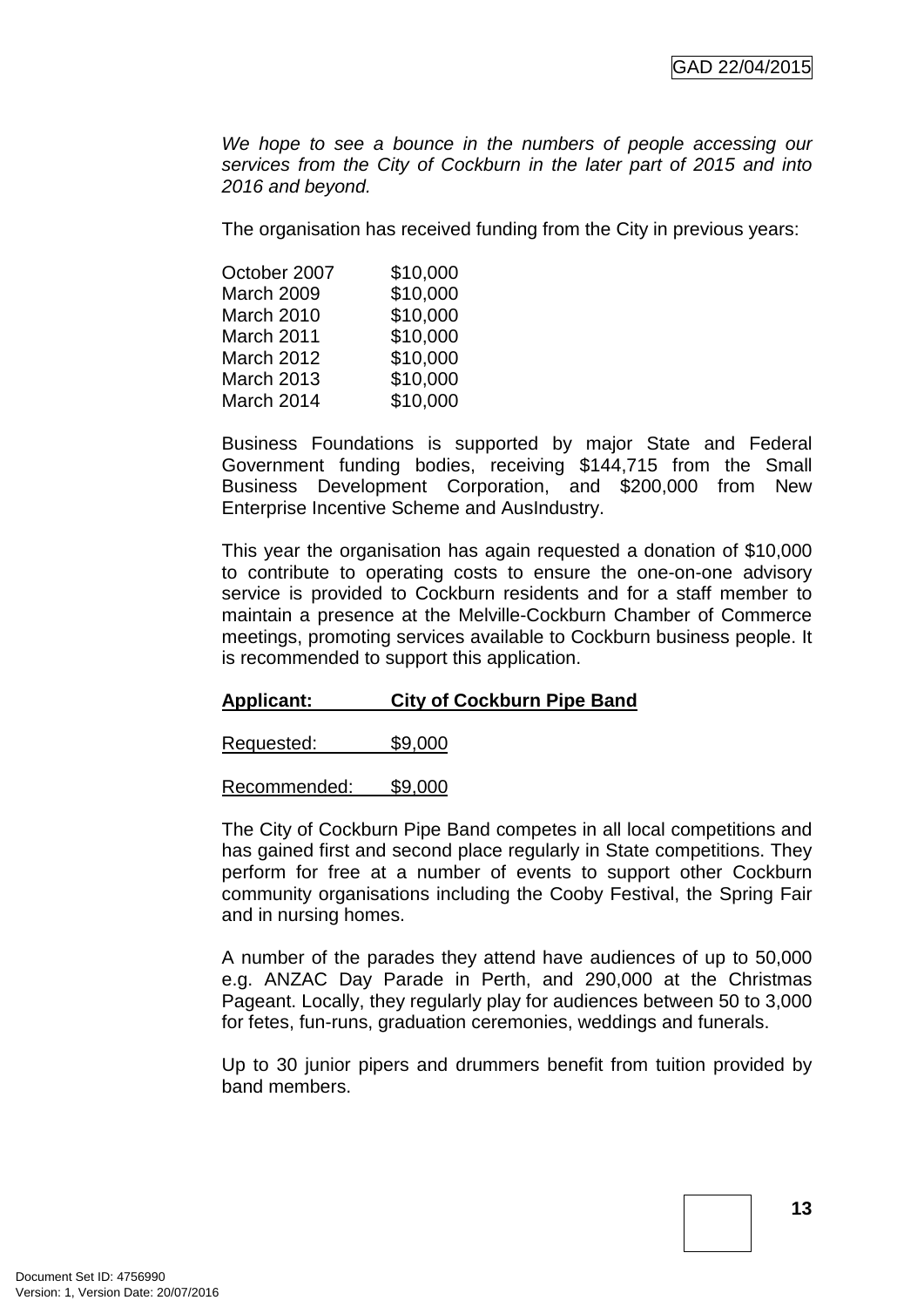*We hope to see a bounce in the numbers of people accessing our services from the City of Cockburn in the later part of 2015 and into 2016 and beyond.*

The organisation has received funding from the City in previous years:

| October 2007      | \$10,000 |
|-------------------|----------|
| March 2009        | \$10,000 |
| March 2010        | \$10,000 |
| March 2011        | \$10,000 |
| <b>March 2012</b> | \$10,000 |
| <b>March 2013</b> | \$10,000 |
| March 2014        | \$10,000 |

Business Foundations is supported by major State and Federal Government funding bodies, receiving \$144,715 from the Small Business Development Corporation, and \$200,000 from New Enterprise Incentive Scheme and AusIndustry.

This year the organisation has again requested a donation of \$10,000 to contribute to operating costs to ensure the one-on-one advisory service is provided to Cockburn residents and for a staff member to maintain a presence at the Melville-Cockburn Chamber of Commerce meetings, promoting services available to Cockburn business people. It is recommended to support this application.

#### **Applicant: City of Cockburn Pipe Band**

Requested: \$9,000

Recommended: \$9,000

The City of Cockburn Pipe Band competes in all local competitions and has gained first and second place regularly in State competitions. They perform for free at a number of events to support other Cockburn community organisations including the Cooby Festival, the Spring Fair and in nursing homes.

A number of the parades they attend have audiences of up to 50,000 e.g. ANZAC Day Parade in Perth, and 290,000 at the Christmas Pageant. Locally, they regularly play for audiences between 50 to 3,000 for fetes, fun-runs, graduation ceremonies, weddings and funerals.

Up to 30 junior pipers and drummers benefit from tuition provided by band members.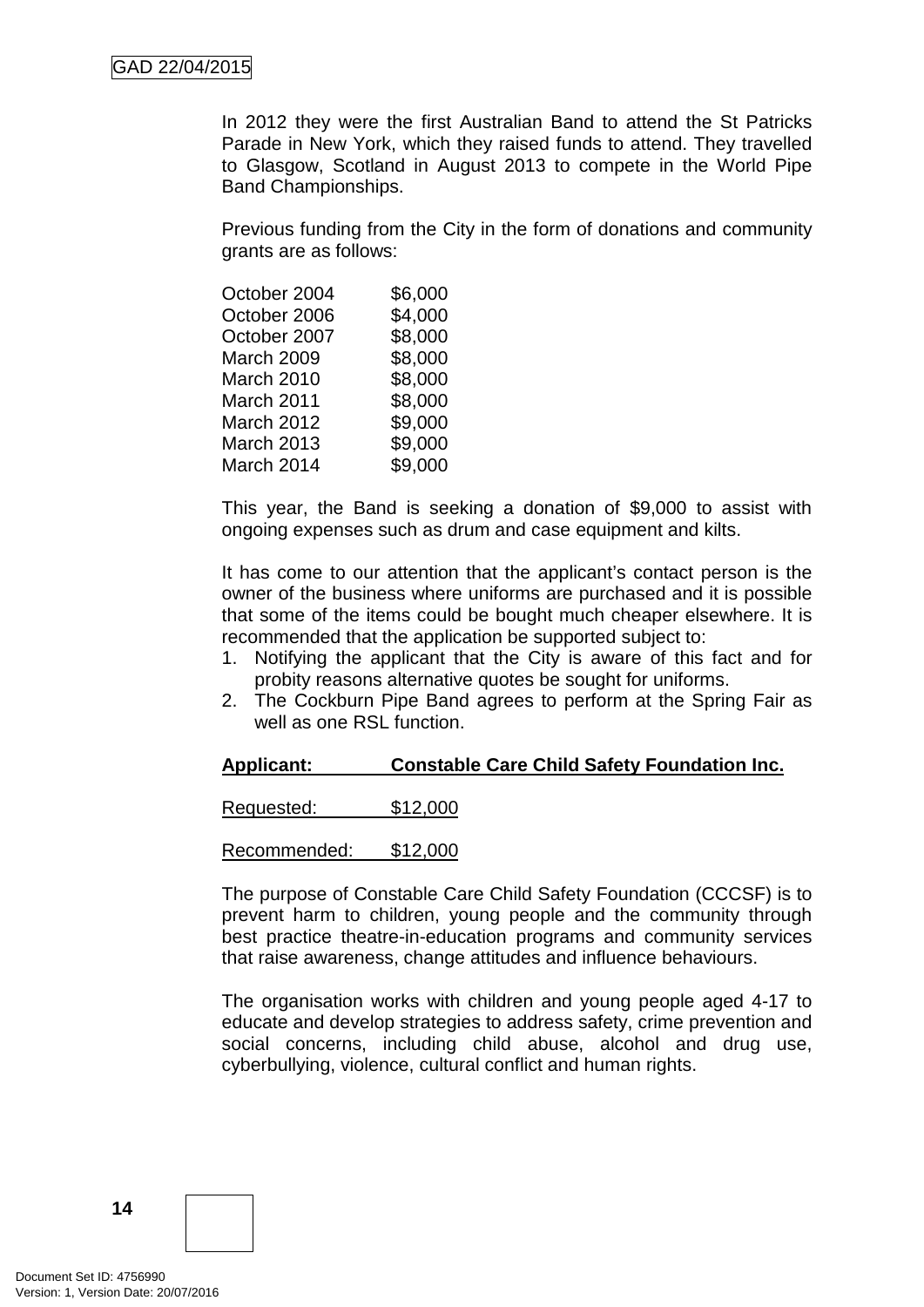In 2012 they were the first Australian Band to attend the St Patricks Parade in New York, which they raised funds to attend. They travelled to Glasgow, Scotland in August 2013 to compete in the World Pipe Band Championships.

Previous funding from the City in the form of donations and community grants are as follows:

| October 2004      | \$6,000 |
|-------------------|---------|
| October 2006      | \$4,000 |
| October 2007      | \$8,000 |
| March 2009        | \$8,000 |
| March 2010        | \$8,000 |
| March 2011        | \$8,000 |
| <b>March 2012</b> | \$9,000 |
| March 2013        | \$9,000 |
| March 2014        | \$9,000 |
|                   |         |

This year, the Band is seeking a donation of \$9,000 to assist with ongoing expenses such as drum and case equipment and kilts.

It has come to our attention that the applicant's contact person is the owner of the business where uniforms are purchased and it is possible that some of the items could be bought much cheaper elsewhere. It is recommended that the application be supported subject to:

- 1. Notifying the applicant that the City is aware of this fact and for probity reasons alternative quotes be sought for uniforms.
- 2. The Cockburn Pipe Band agrees to perform at the Spring Fair as well as one RSL function.

#### **Applicant: Constable Care Child Safety Foundation Inc.**

Requested: \$12,000

Recommended: \$12,000

The purpose of Constable Care Child Safety Foundation (CCCSF) is to prevent harm to children, young people and the community through best practice theatre-in-education programs and community services that raise awareness, change attitudes and influence behaviours.

The organisation works with children and young people aged 4-17 to educate and develop strategies to address safety, crime prevention and social concerns, including child abuse, alcohol and drug use, cyberbullying, violence, cultural conflict and human rights.

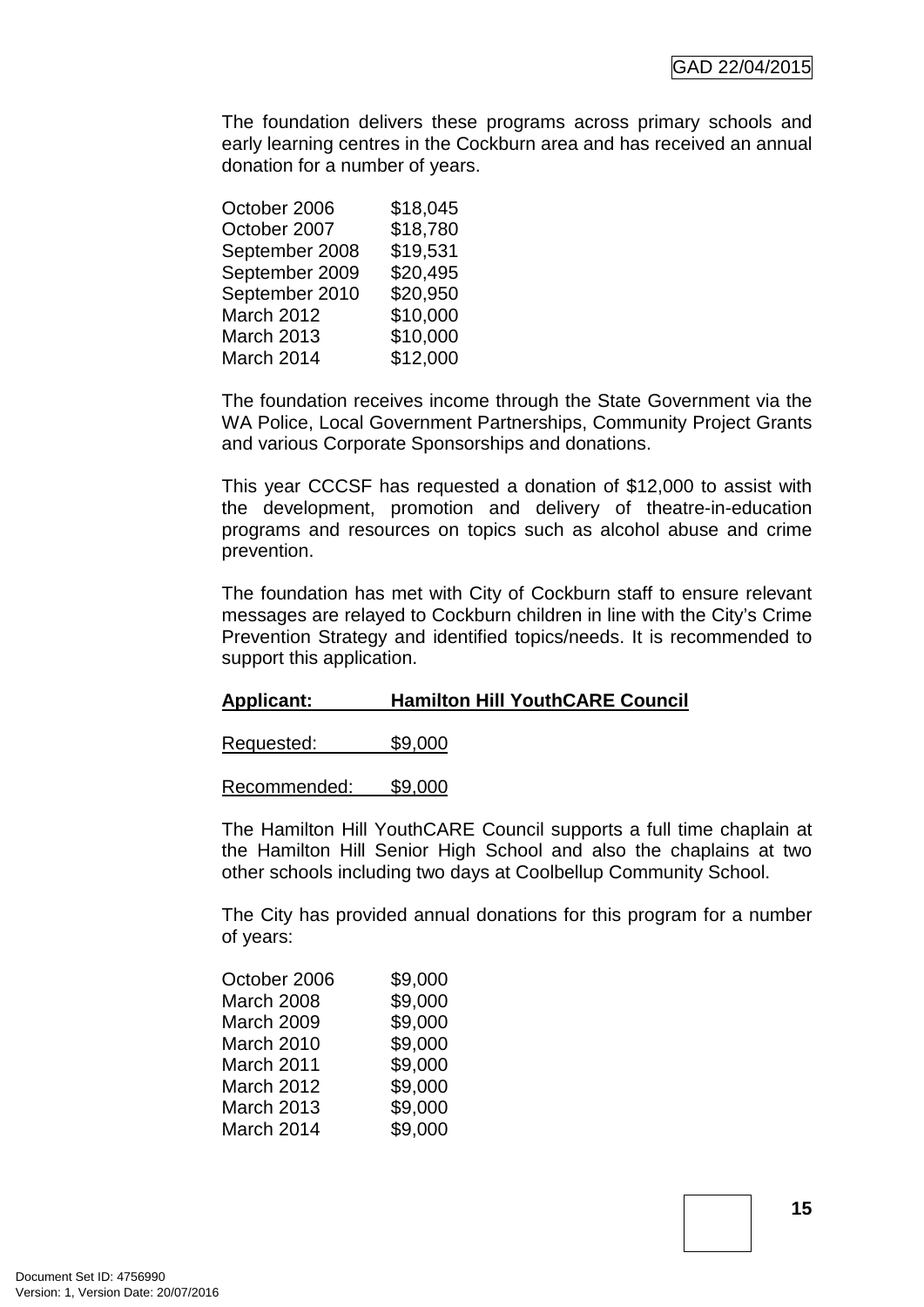The foundation delivers these programs across primary schools and early learning centres in the Cockburn area and has received an annual donation for a number of years.

| October 2006      | \$18,045 |
|-------------------|----------|
|                   |          |
| October 2007      | \$18,780 |
| September 2008    | \$19,531 |
| September 2009    | \$20,495 |
| September 2010    | \$20,950 |
| <b>March 2012</b> | \$10,000 |
| <b>March 2013</b> | \$10,000 |
| March 2014        | \$12,000 |
|                   |          |

The foundation receives income through the State Government via the WA Police, Local Government Partnerships, Community Project Grants and various Corporate Sponsorships and donations.

This year CCCSF has requested a donation of \$12,000 to assist with the development, promotion and delivery of theatre-in-education programs and resources on topics such as alcohol abuse and crime prevention.

The foundation has met with City of Cockburn staff to ensure relevant messages are relayed to Cockburn children in line with the City's Crime Prevention Strategy and identified topics/needs. It is recommended to support this application.

# **Applicant: Hamilton Hill YouthCARE Council**

Requested: \$9,000

Recommended: \$9,000

The Hamilton Hill YouthCARE Council supports a full time chaplain at the Hamilton Hill Senior High School and also the chaplains at two other schools including two days at Coolbellup Community School.

The City has provided annual donations for this program for a number of years:

| \$9,000 |
|---------|
| \$9,000 |
| \$9,000 |
| \$9,000 |
| \$9,000 |
| \$9,000 |
| \$9,000 |
| \$9,000 |
|         |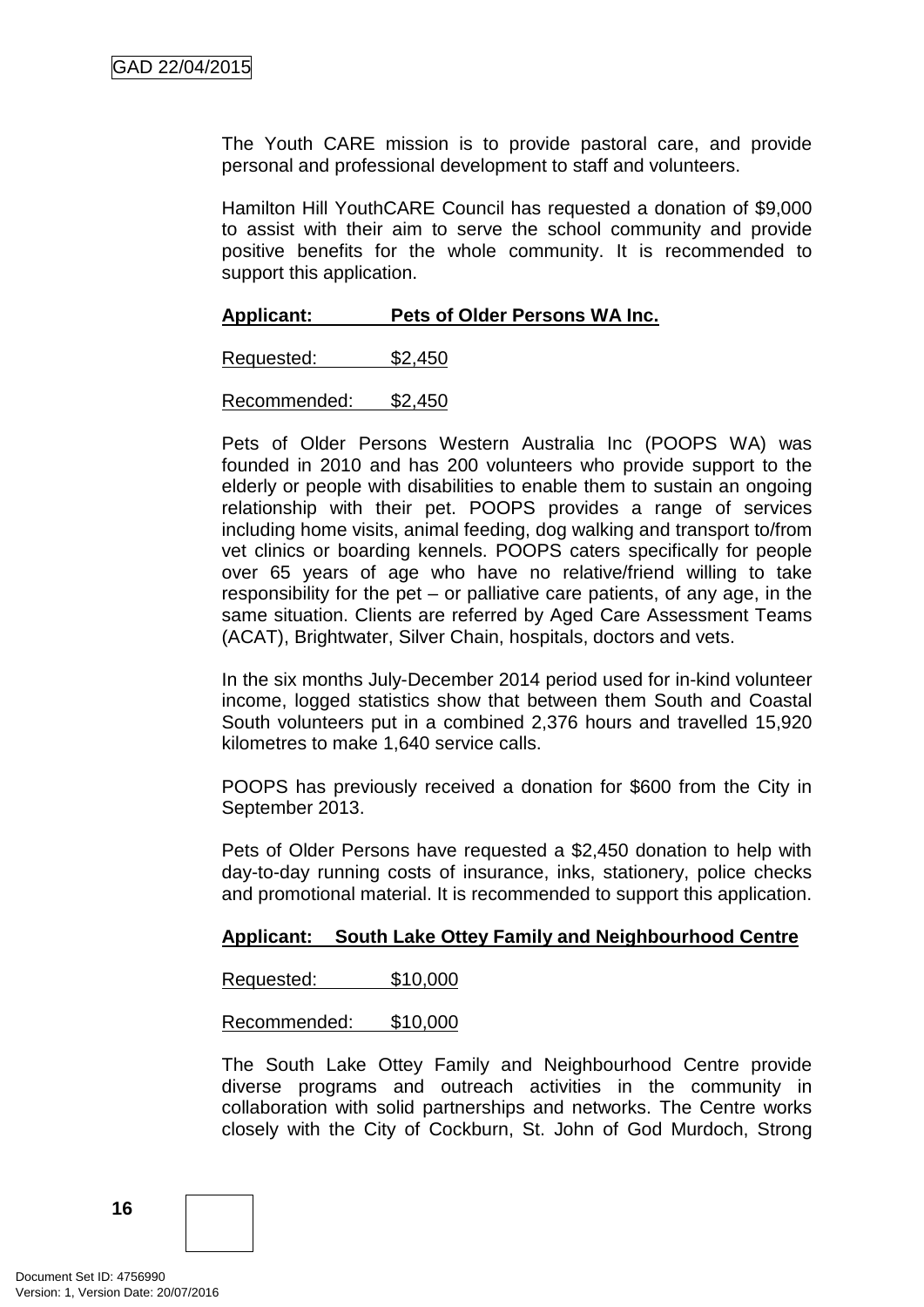The Youth CARE mission is to provide pastoral care, and provide personal and professional development to staff and volunteers.

Hamilton Hill YouthCARE Council has requested a donation of \$9,000 to assist with their aim to serve the school community and provide positive benefits for the whole community. It is recommended to support this application.

#### **Applicant: Pets of Older Persons WA Inc.**

Requested: \$2,450

Recommended: \$2,450

Pets of Older Persons Western Australia Inc (POOPS WA) was founded in 2010 and has 200 volunteers who provide support to the elderly or people with disabilities to enable them to sustain an ongoing relationship with their pet. POOPS provides a range of services including home visits, animal feeding, dog walking and transport to/from vet clinics or boarding kennels. POOPS caters specifically for people over 65 years of age who have no relative/friend willing to take responsibility for the pet – or palliative care patients, of any age, in the same situation. Clients are referred by Aged Care Assessment Teams (ACAT), Brightwater, Silver Chain, hospitals, doctors and vets.

In the six months July-December 2014 period used for in-kind volunteer income, logged statistics show that between them South and Coastal South volunteers put in a combined 2,376 hours and travelled 15,920 kilometres to make 1,640 service calls.

POOPS has previously received a donation for \$600 from the City in September 2013.

Pets of Older Persons have requested a \$2,450 donation to help with day-to-day running costs of insurance, inks, stationery, police checks and promotional material. It is recommended to support this application.

# **Applicant: South Lake Ottey Family and Neighbourhood Centre**

Requested: \$10,000

Recommended: \$10,000

The South Lake Ottey Family and Neighbourhood Centre provide diverse programs and outreach activities in the community in collaboration with solid partnerships and networks. The Centre works closely with the City of Cockburn, St. John of God Murdoch, Strong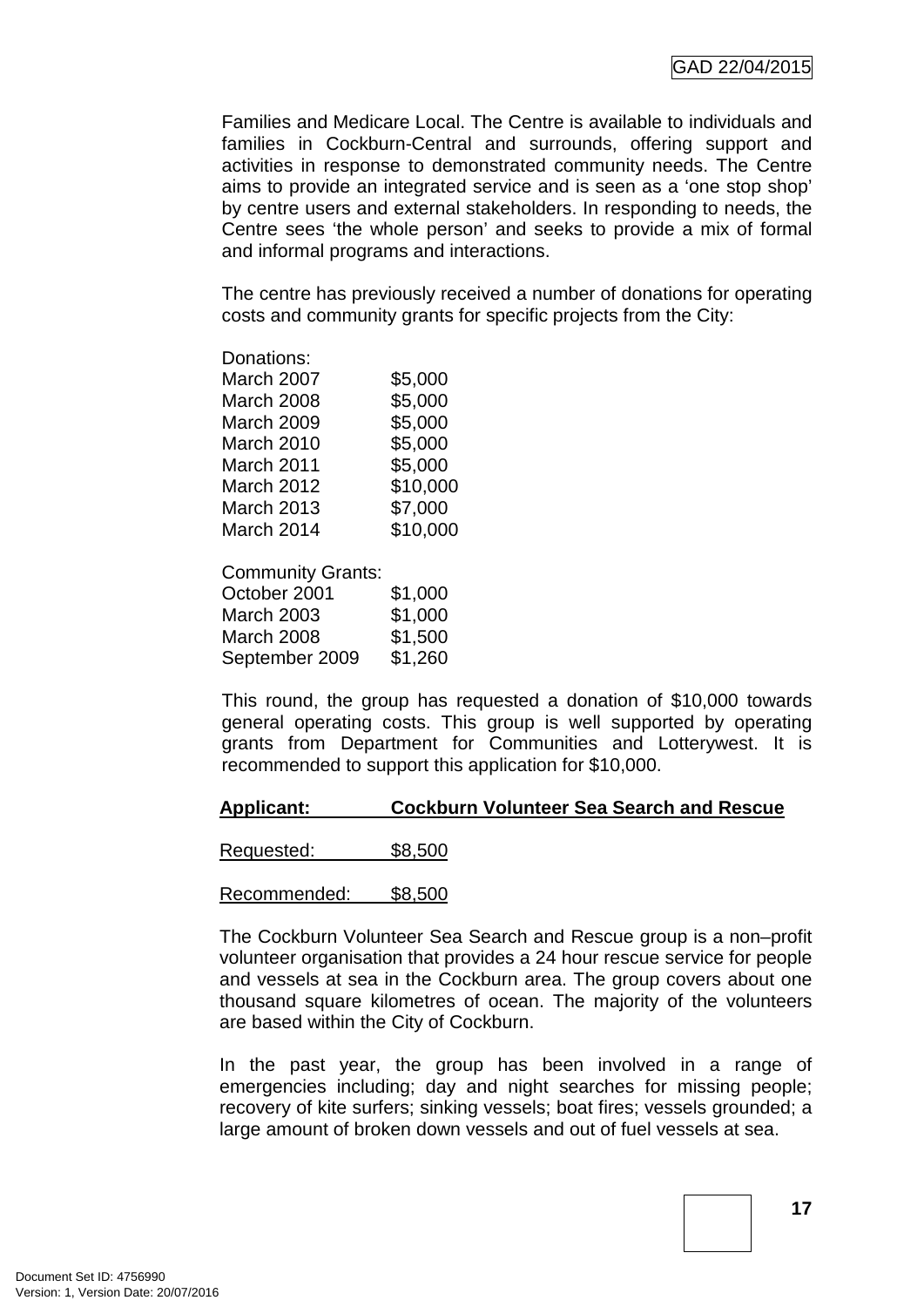Families and Medicare Local. The Centre is available to individuals and families in Cockburn-Central and surrounds, offering support and activities in response to demonstrated community needs. The Centre aims to provide an integrated service and is seen as a 'one stop shop' by centre users and external stakeholders. In responding to needs, the Centre sees 'the whole person' and seeks to provide a mix of formal and informal programs and interactions.

The centre has previously received a number of donations for operating costs and community grants for specific projects from the City:

#### Donations:

| March 2007        | \$5,000  |
|-------------------|----------|
| <b>March 2008</b> | \$5,000  |
| March 2009        | \$5,000  |
| March 2010        | \$5,000  |
| March 2011        | \$5,000  |
| <b>March 2012</b> | \$10,000 |
| <b>March 2013</b> | \$7,000  |
| March 2014        | \$10,000 |
|                   |          |

Community Grants:

| \$1,000 |
|---------|
| \$1,000 |
| \$1,500 |
| \$1,260 |
|         |

This round, the group has requested a donation of \$10,000 towards general operating costs. This group is well supported by operating grants from Department for Communities and Lotterywest. It is recommended to support this application for \$10,000.

# **Applicant: Cockburn Volunteer Sea Search and Rescue**

Requested: \$8,500

Recommended: \$8,500

The Cockburn Volunteer Sea Search and Rescue group is a non–profit volunteer organisation that provides a 24 hour rescue service for people and vessels at sea in the Cockburn area. The group covers about one thousand square kilometres of ocean. The majority of the volunteers are based within the City of Cockburn.

In the past year, the group has been involved in a range of emergencies including; day and night searches for missing people; recovery of kite surfers; sinking vessels; boat fires; vessels grounded; a large amount of broken down vessels and out of fuel vessels at sea.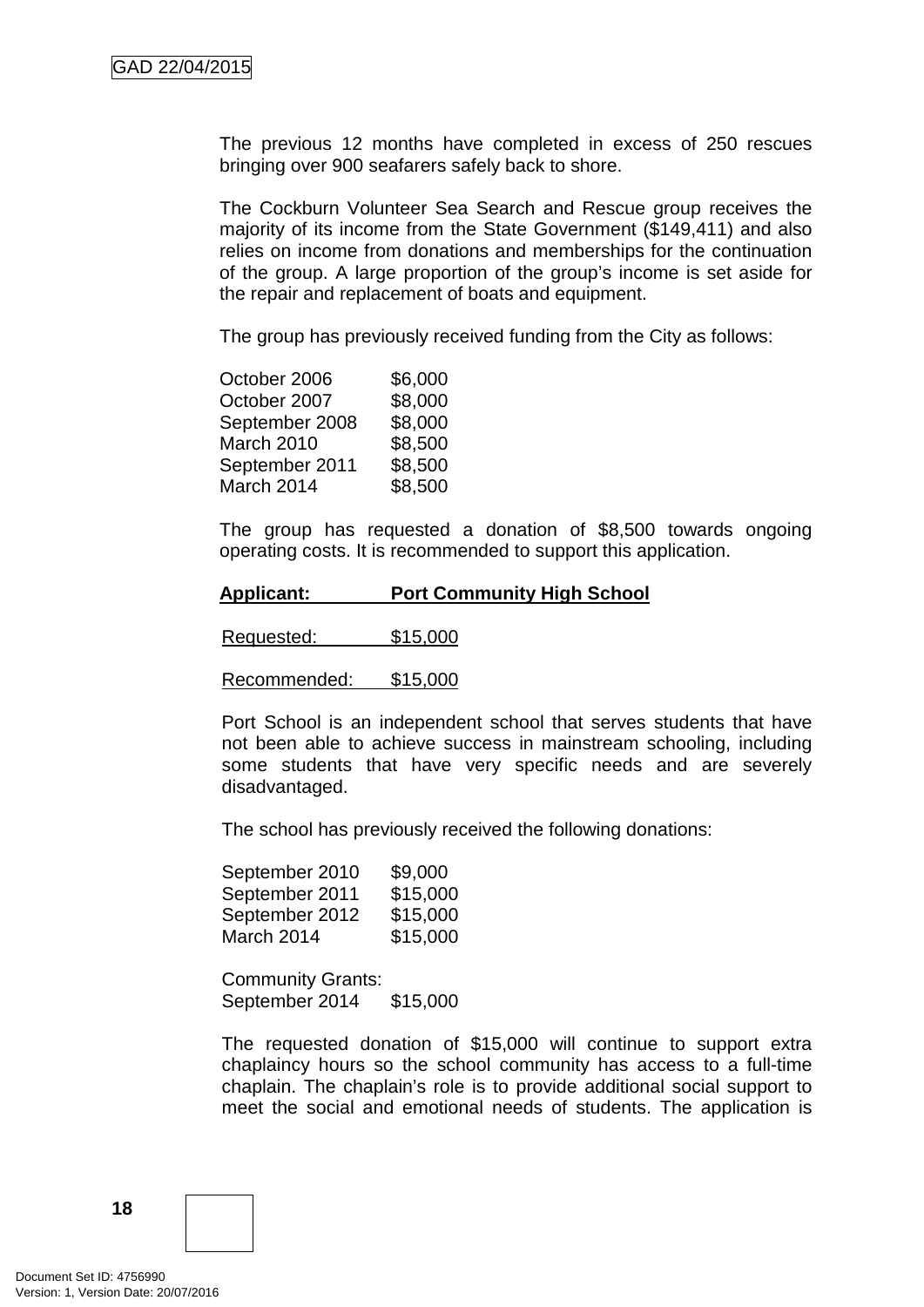The previous 12 months have completed in excess of 250 rescues bringing over 900 seafarers safely back to shore.

The Cockburn Volunteer Sea Search and Rescue group receives the majority of its income from the State Government (\$149,411) and also relies on income from donations and memberships for the continuation of the group. A large proportion of the group's income is set aside for the repair and replacement of boats and equipment.

The group has previously received funding from the City as follows:

| \$6,000 |
|---------|
| \$8,000 |
| \$8,000 |
| \$8,500 |
| \$8,500 |
| \$8,500 |
|         |

The group has requested a donation of \$8,500 towards ongoing operating costs. It is recommended to support this application.

#### **Applicant: Port Community High School**

Requested: \$15,000

Recommended: \$15,000

Port School is an independent school that serves students that have not been able to achieve success in mainstream schooling, including some students that have very specific needs and are severely disadvantaged.

The school has previously received the following donations:

| September 2010 | \$9,000  |
|----------------|----------|
| September 2011 | \$15,000 |
| September 2012 | \$15,000 |
| March 2014     | \$15,000 |

Community Grants: September 2014 \$15,000

The requested donation of \$15,000 will continue to support extra chaplaincy hours so the school community has access to a full-time chaplain. The chaplain's role is to provide additional social support to meet the social and emotional needs of students. The application is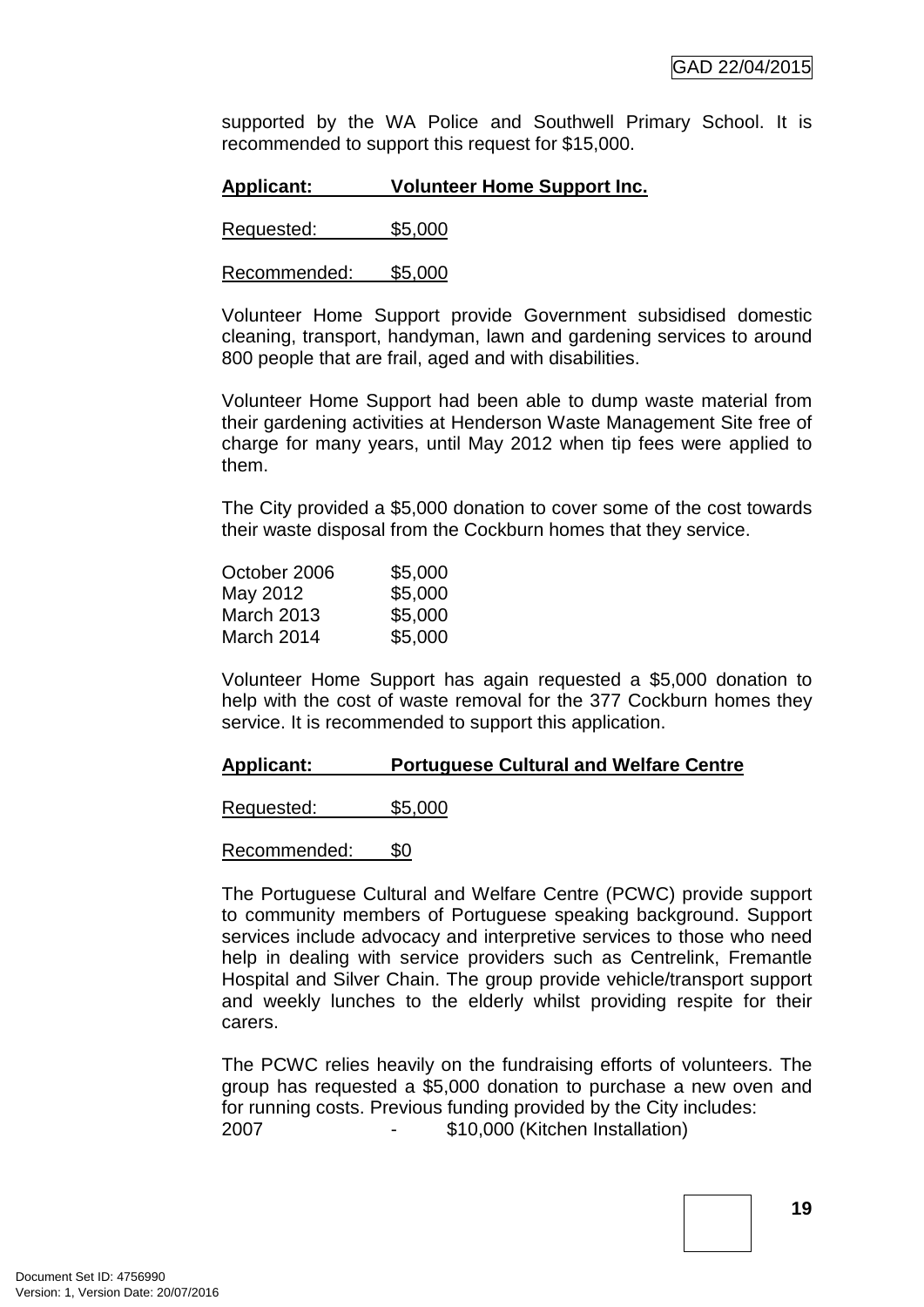supported by the WA Police and Southwell Primary School. It is recommended to support this request for \$15,000.

**Applicant: Volunteer Home Support Inc.**

Requested: \$5,000

Recommended: \$5,000

Volunteer Home Support provide Government subsidised domestic cleaning, transport, handyman, lawn and gardening services to around 800 people that are frail, aged and with disabilities.

Volunteer Home Support had been able to dump waste material from their gardening activities at Henderson Waste Management Site free of charge for many years, until May 2012 when tip fees were applied to them.

The City provided a \$5,000 donation to cover some of the cost towards their waste disposal from the Cockburn homes that they service.

| \$5,000 |
|---------|
| \$5,000 |
| \$5,000 |
| \$5,000 |
|         |

Volunteer Home Support has again requested a \$5,000 donation to help with the cost of waste removal for the 377 Cockburn homes they service. It is recommended to support this application.

#### **Applicant: Portuguese Cultural and Welfare Centre**

Requested: \$5,000

Recommended: \$0

The Portuguese Cultural and Welfare Centre (PCWC) provide support to community members of Portuguese speaking background. Support services include advocacy and interpretive services to those who need help in dealing with service providers such as Centrelink, Fremantle Hospital and Silver Chain. The group provide vehicle/transport support and weekly lunches to the elderly whilst providing respite for their carers.

The PCWC relies heavily on the fundraising efforts of volunteers. The group has requested a \$5,000 donation to purchase a new oven and for running costs. Previous funding provided by the City includes: 2007 - \$10,000 (Kitchen Installation)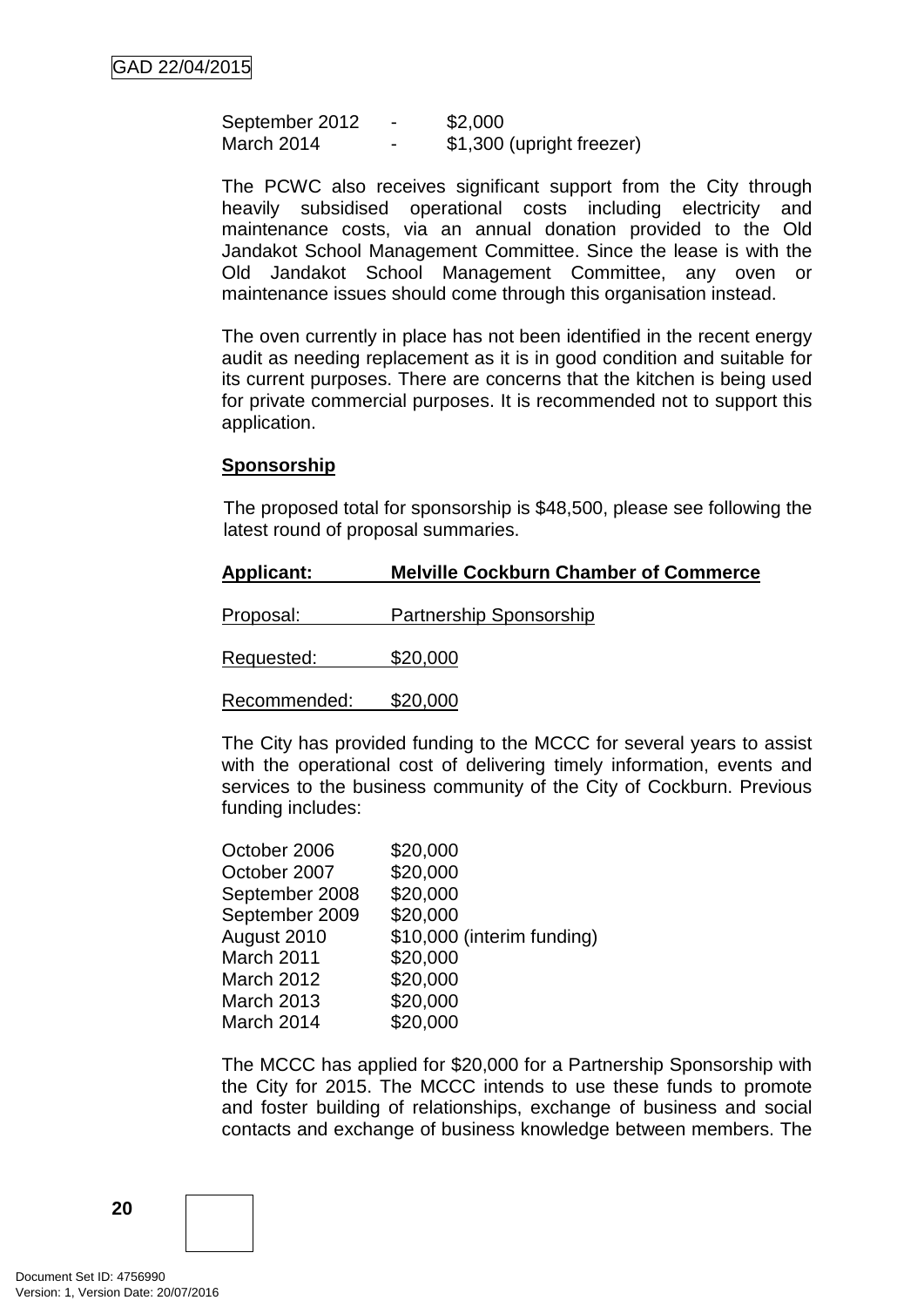September 2012 - \$2,000 March 2014 - \$1,300 (upright freezer)

The PCWC also receives significant support from the City through heavily subsidised operational costs including electricity and maintenance costs, via an annual donation provided to the Old Jandakot School Management Committee. Since the lease is with the Old Jandakot School Management Committee, any oven or maintenance issues should come through this organisation instead.

The oven currently in place has not been identified in the recent energy audit as needing replacement as it is in good condition and suitable for its current purposes. There are concerns that the kitchen is being used for private commercial purposes. It is recommended not to support this application.

#### **Sponsorship**

The proposed total for sponsorship is \$48,500, please see following the latest round of proposal summaries.

| <b>Applicant:</b> | <b>Melville Cockburn Chamber of Commerce</b> |
|-------------------|----------------------------------------------|
| Proposal:         | Partnership Sponsorship                      |
| Requested:        | \$20,000                                     |
| Recommended:      | \$20,000                                     |

The City has provided funding to the MCCC for several years to assist with the operational cost of delivering timely information, events and services to the business community of the City of Cockburn. Previous funding includes:

| October 2006      | \$20,000                   |
|-------------------|----------------------------|
| October 2007      | \$20,000                   |
| September 2008    | \$20,000                   |
| September 2009    | \$20,000                   |
| August 2010       | \$10,000 (interim funding) |
| March 2011        | \$20,000                   |
| <b>March 2012</b> | \$20,000                   |
| <b>March 2013</b> | \$20,000                   |
| March 2014        | \$20,000                   |
|                   |                            |

The MCCC has applied for \$20,000 for a Partnership Sponsorship with the City for 2015. The MCCC intends to use these funds to promote and foster building of relationships, exchange of business and social contacts and exchange of business knowledge between members. The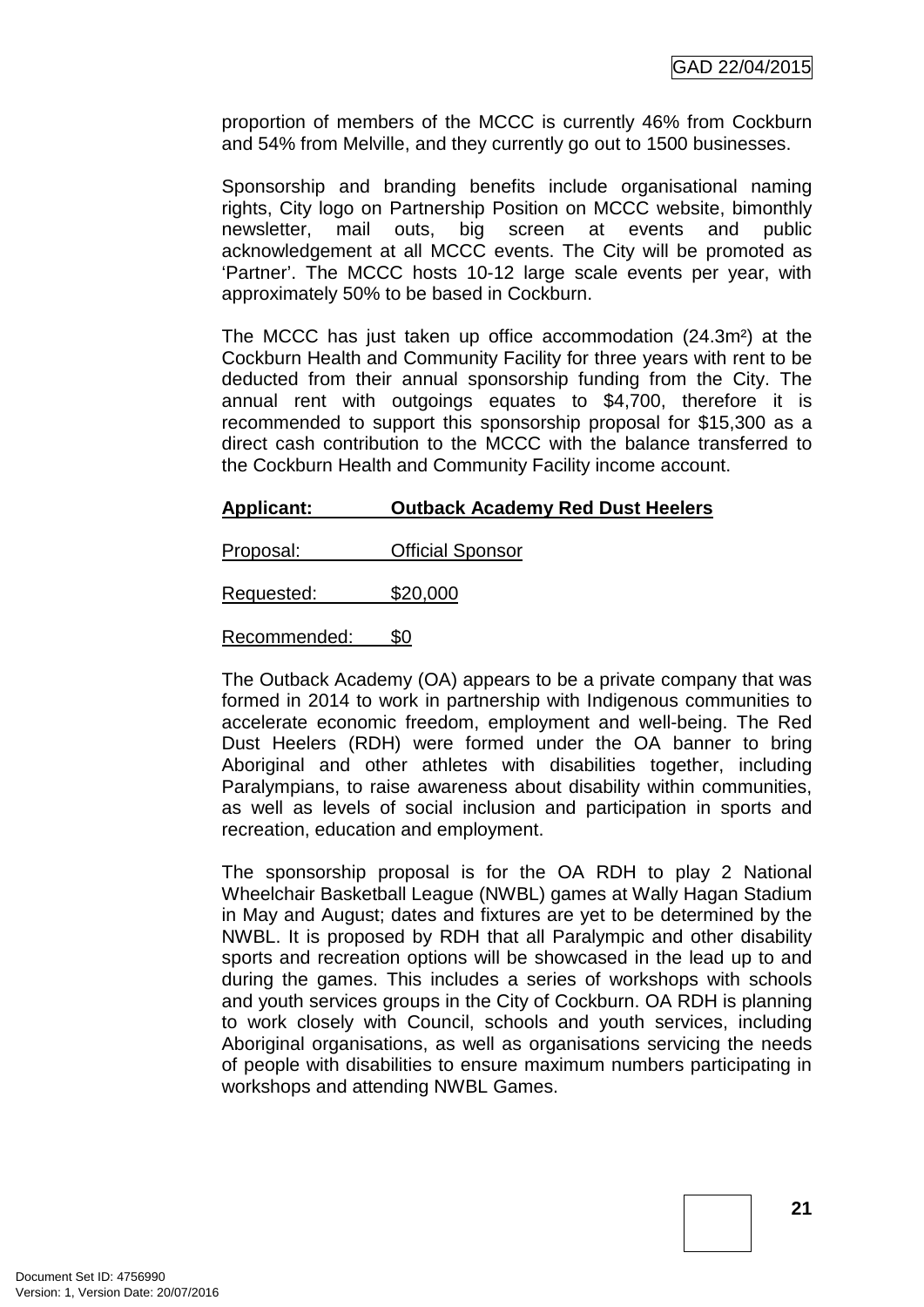proportion of members of the MCCC is currently 46% from Cockburn and 54% from Melville, and they currently go out to 1500 businesses.

Sponsorship and branding benefits include organisational naming rights, City logo on Partnership Position on MCCC website, bimonthly newsletter, mail outs, big screen at events and public acknowledgement at all MCCC events. The City will be promoted as 'Partner'. The MCCC hosts 10-12 large scale events per year, with approximately 50% to be based in Cockburn.

The MCCC has just taken up office accommodation (24.3m²) at the Cockburn Health and Community Facility for three years with rent to be deducted from their annual sponsorship funding from the City. The annual rent with outgoings equates to \$4,700, therefore it is recommended to support this sponsorship proposal for \$15,300 as a direct cash contribution to the MCCC with the balance transferred to the Cockburn Health and Community Facility income account.

#### **Applicant: Outback Academy Red Dust Heelers**

Requested: \$20,000

Recommended: \$0

The Outback Academy (OA) appears to be a private company that was formed in 2014 to work in partnership with Indigenous communities to accelerate economic freedom, employment and well-being. The Red Dust Heelers (RDH) were formed under the OA banner to bring Aboriginal and other athletes with disabilities together, including Paralympians, to raise awareness about disability within communities, as well as levels of social inclusion and participation in sports and recreation, education and employment.

The sponsorship proposal is for the OA RDH to play 2 National Wheelchair Basketball League (NWBL) games at Wally Hagan Stadium in May and August; dates and fixtures are yet to be determined by the NWBL. It is proposed by RDH that all Paralympic and other disability sports and recreation options will be showcased in the lead up to and during the games. This includes a series of workshops with schools and youth services groups in the City of Cockburn. OA RDH is planning to work closely with Council, schools and youth services, including Aboriginal organisations, as well as organisations servicing the needs of people with disabilities to ensure maximum numbers participating in workshops and attending NWBL Games.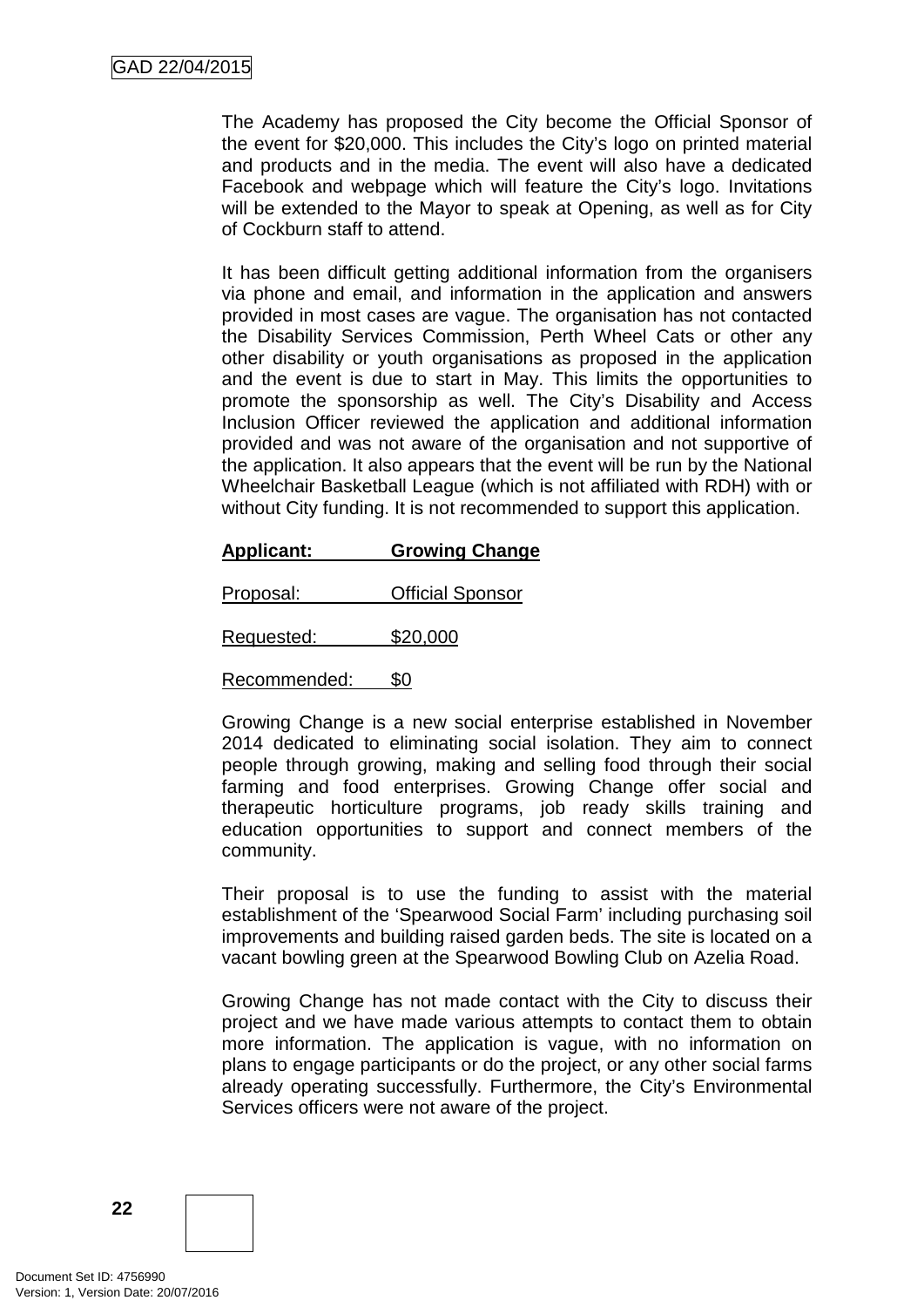The Academy has proposed the City become the Official Sponsor of the event for \$20,000. This includes the City's logo on printed material and products and in the media. The event will also have a dedicated Facebook and webpage which will feature the City's logo. Invitations will be extended to the Mayor to speak at Opening, as well as for City of Cockburn staff to attend.

It has been difficult getting additional information from the organisers via phone and email, and information in the application and answers provided in most cases are vague. The organisation has not contacted the Disability Services Commission, Perth Wheel Cats or other any other disability or youth organisations as proposed in the application and the event is due to start in May. This limits the opportunities to promote the sponsorship as well. The City's Disability and Access Inclusion Officer reviewed the application and additional information provided and was not aware of the organisation and not supportive of the application. It also appears that the event will be run by the National Wheelchair Basketball League (which is not affiliated with RDH) with or without City funding. It is not recommended to support this application.

# **Applicant: Growing Change**

Proposal: Official Sponsor

Requested: \$20,000

Recommended: \$0

Growing Change is a new social enterprise established in November 2014 dedicated to eliminating social isolation. They aim to connect people through growing, making and selling food through their social farming and food enterprises. Growing Change offer social and therapeutic horticulture programs, job ready skills training and education opportunities to support and connect members of the community.

Their proposal is to use the funding to assist with the material establishment of the 'Spearwood Social Farm' including purchasing soil improvements and building raised garden beds. The site is located on a vacant bowling green at the Spearwood Bowling Club on Azelia Road.

Growing Change has not made contact with the City to discuss their project and we have made various attempts to contact them to obtain more information. The application is vague, with no information on plans to engage participants or do the project, or any other social farms already operating successfully. Furthermore, the City's Environmental Services officers were not aware of the project.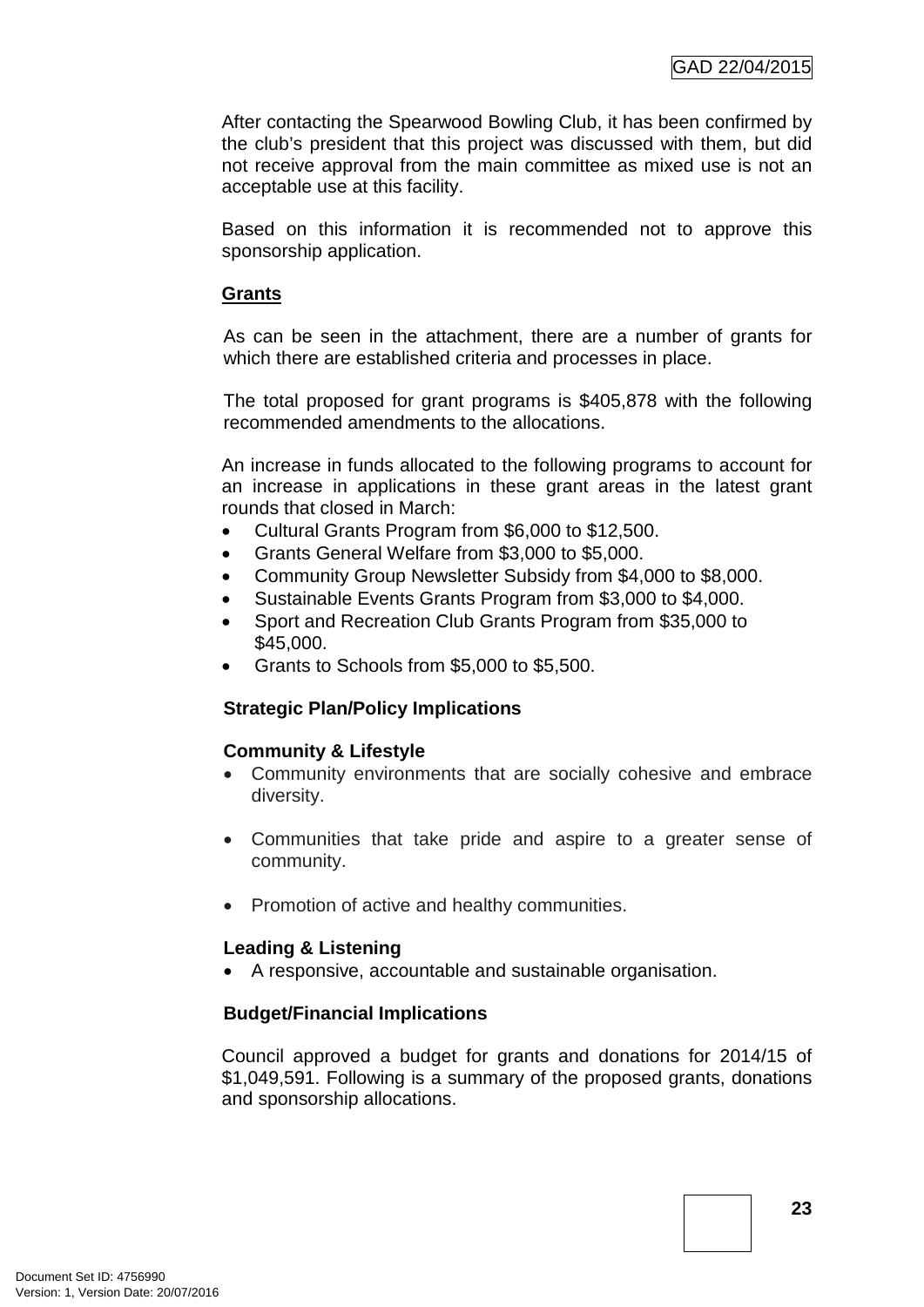After contacting the Spearwood Bowling Club, it has been confirmed by the club's president that this project was discussed with them, but did not receive approval from the main committee as mixed use is not an acceptable use at this facility.

Based on this information it is recommended not to approve this sponsorship application.

# **Grants**

As can be seen in the attachment, there are a number of grants for which there are established criteria and processes in place.

The total proposed for grant programs is \$405,878 with the following recommended amendments to the allocations.

An increase in funds allocated to the following programs to account for an increase in applications in these grant areas in the latest grant rounds that closed in March:

- Cultural Grants Program from \$6,000 to \$12,500.
- Grants General Welfare from \$3,000 to \$5,000.
- Community Group Newsletter Subsidy from \$4,000 to \$8,000.
- Sustainable Events Grants Program from \$3,000 to \$4,000.
- Sport and Recreation Club Grants Program from \$35,000 to \$45,000.
- Grants to Schools from \$5,000 to \$5,500.

# **Strategic Plan/Policy Implications**

# **Community & Lifestyle**

- Community environments that are socially cohesive and embrace diversity.
- Communities that take pride and aspire to a greater sense of community.
- Promotion of active and healthy communities.

# **Leading & Listening**

• A responsive, accountable and sustainable organisation.

# **Budget/Financial Implications**

Council approved a budget for grants and donations for 2014/15 of \$1,049,591. Following is a summary of the proposed grants, donations and sponsorship allocations.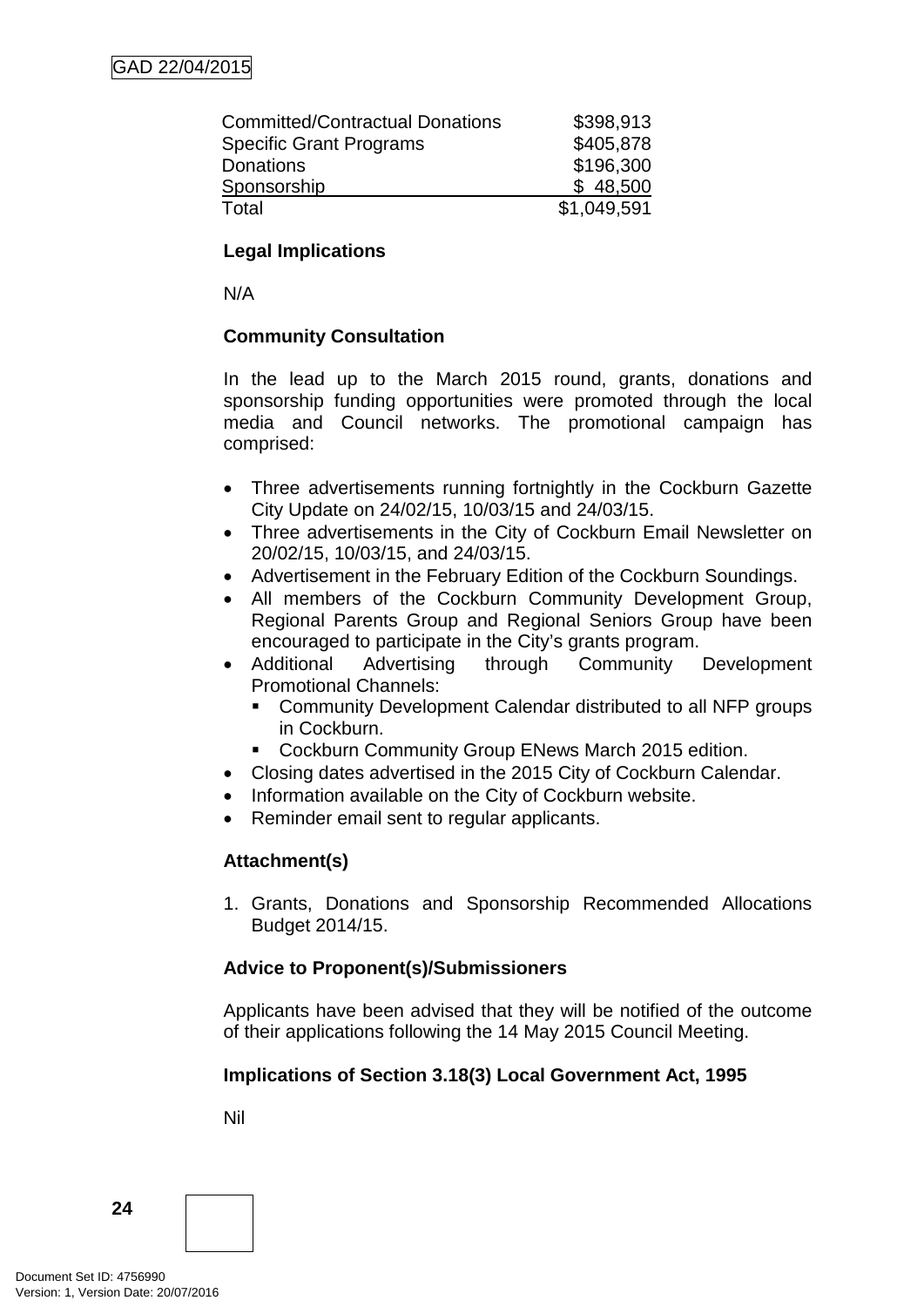| <b>Committed/Contractual Donations</b> | \$398,913   |
|----------------------------------------|-------------|
| <b>Specific Grant Programs</b>         | \$405,878   |
| <b>Donations</b>                       | \$196,300   |
| Sponsorship                            | \$48,500    |
| Total                                  | \$1,049,591 |

# **Legal Implications**

N/A

# **Community Consultation**

In the lead up to the March 2015 round, grants, donations and sponsorship funding opportunities were promoted through the local media and Council networks. The promotional campaign has comprised:

- Three advertisements running fortnightly in the Cockburn Gazette City Update on 24/02/15, 10/03/15 and 24/03/15.
- Three advertisements in the City of Cockburn Email Newsletter on 20/02/15, 10/03/15, and 24/03/15.
- Advertisement in the February Edition of the Cockburn Soundings.
- All members of the Cockburn Community Development Group, Regional Parents Group and Regional Seniors Group have been encouraged to participate in the City's grants program.
- Additional Advertising through Community Development Promotional Channels:
	- Community Development Calendar distributed to all NFP groups in Cockburn.
	- Cockburn Community Group ENews March 2015 edition.
- Closing dates advertised in the 2015 City of Cockburn Calendar.
- Information available on the City of Cockburn website.
- Reminder email sent to regular applicants.

# **Attachment(s)**

1. Grants, Donations and Sponsorship Recommended Allocations Budget 2014/15.

# **Advice to Proponent(s)/Submissioners**

Applicants have been advised that they will be notified of the outcome of their applications following the 14 May 2015 Council Meeting.

# **Implications of Section 3.18(3) Local Government Act, 1995**

Nil